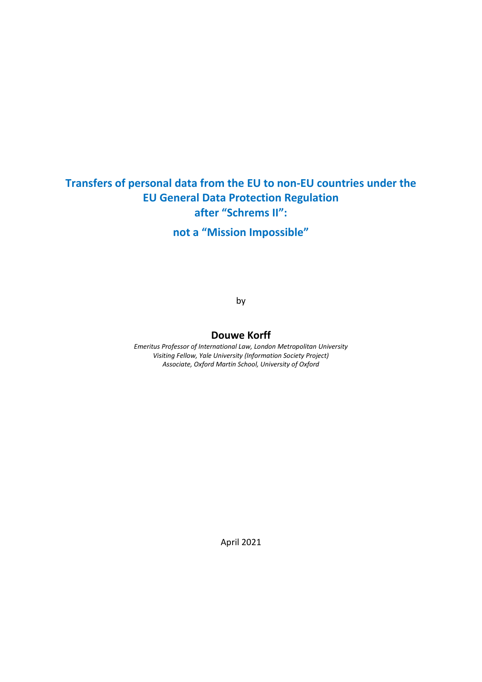# **Transfers of personal data from the EU to non-EU countries under the EU General Data Protection Regulation after "Schrems II": not a "Mission Impossible"**

by

#### **Douwe Korff**

*Emeritus Professor of International Law, London Metropolitan University Visiting Fellow, Yale University (Information Society Project) Associate, Oxford Martin School, University of Oxford*

April 2021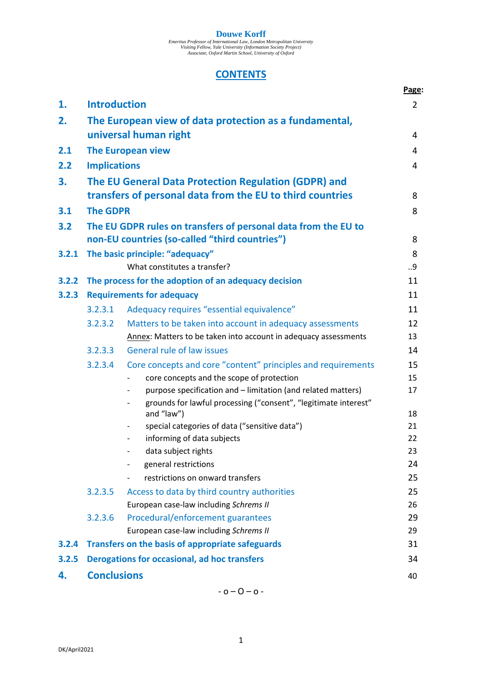**DOUWE KOrff**<br>Emeritus Professor of International Law, London Metropolitan University<br>Visiting Fellow, Yale University (Information Society Project)<br>Associate, Oxford Martin School, University of Oxford

# **CONTENTS**

|       |                                                                                 |                                                                                                           | Page:    |  |
|-------|---------------------------------------------------------------------------------|-----------------------------------------------------------------------------------------------------------|----------|--|
| 1.    | <b>Introduction</b>                                                             |                                                                                                           |          |  |
| 2.    | The European view of data protection as a fundamental,<br>universal human right |                                                                                                           |          |  |
|       |                                                                                 |                                                                                                           | 4<br>4   |  |
| 2.1   | <b>The European view</b>                                                        |                                                                                                           |          |  |
| 2.2   | <b>Implications</b>                                                             |                                                                                                           |          |  |
| 3.    | The EU General Data Protection Regulation (GDPR) and                            |                                                                                                           |          |  |
|       |                                                                                 | transfers of personal data from the EU to third countries                                                 | 8        |  |
| 3.1   | <b>The GDPR</b>                                                                 |                                                                                                           |          |  |
| 3.2   | The EU GDPR rules on transfers of personal data from the EU to                  |                                                                                                           |          |  |
|       |                                                                                 | non-EU countries (so-called "third countries")                                                            | 8        |  |
| 3.2.1 |                                                                                 | The basic principle: "adequacy"                                                                           | 8        |  |
|       |                                                                                 | What constitutes a transfer?                                                                              | 9        |  |
| 3.2.2 |                                                                                 | The process for the adoption of an adequacy decision                                                      | 11<br>11 |  |
| 3.2.3 | <b>Requirements for adequacy</b>                                                |                                                                                                           |          |  |
|       | 3.2.3.1                                                                         | Adequacy requires "essential equivalence"                                                                 | 11       |  |
|       | 3.2.3.2                                                                         | Matters to be taken into account in adequacy assessments                                                  | 12       |  |
|       |                                                                                 | Annex: Matters to be taken into account in adequacy assessments                                           | 13       |  |
|       | 3.2.3.3                                                                         | <b>General rule of law issues</b>                                                                         | 14       |  |
|       | 3.2.3.4                                                                         | Core concepts and core "content" principles and requirements                                              | 15       |  |
|       |                                                                                 | core concepts and the scope of protection                                                                 | 15       |  |
|       |                                                                                 | purpose specification and - limitation (and related matters)                                              | 17       |  |
|       |                                                                                 | grounds for lawful processing ("consent", "legitimate interest"<br>$\overline{\phantom{a}}$<br>and "law") | 18       |  |
|       |                                                                                 | special categories of data ("sensitive data")<br>$\overline{\phantom{a}}$                                 | 21       |  |
|       |                                                                                 | informing of data subjects                                                                                | 22       |  |
|       |                                                                                 | data subject rights                                                                                       | 23       |  |
|       |                                                                                 | general restrictions                                                                                      | 24       |  |
|       |                                                                                 | restrictions on onward transfers                                                                          | 25       |  |
|       | 3.2.3.5                                                                         | Access to data by third country authorities                                                               | 25       |  |
|       |                                                                                 | European case-law including Schrems II                                                                    | 26       |  |
|       | 3.2.3.6                                                                         | Procedural/enforcement guarantees                                                                         | 29       |  |
|       |                                                                                 | European case-law including Schrems II                                                                    | 29       |  |
| 3.2.4 | Transfers on the basis of appropriate safeguards                                |                                                                                                           | 31       |  |
| 3.2.5 | <b>Derogations for occasional, ad hoc transfers</b><br>34                       |                                                                                                           |          |  |
| 4.    | <b>Conclusions</b>                                                              |                                                                                                           | 40       |  |

 $-0 - 0 - 0 -$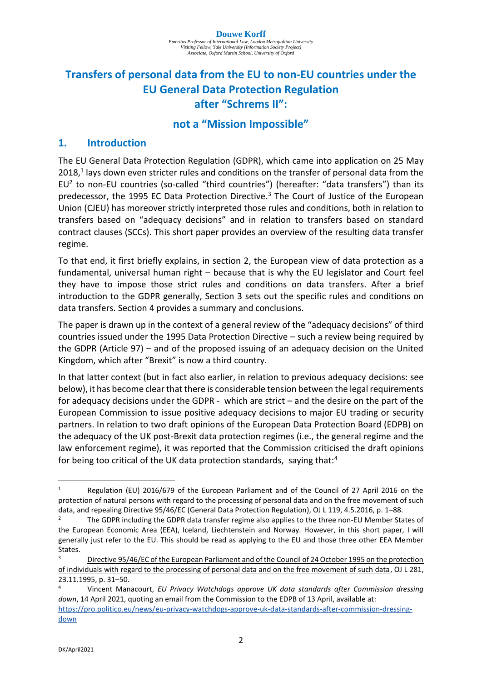# **Transfers of personal data from the EU to non-EU countries under the EU General Data Protection Regulation after "Schrems II":**

# **not a "Mission Impossible"**

# **1. Introduction**

The EU General Data Protection Regulation (GDPR), which came into application on 25 May 2018,<sup>1</sup> lays down even stricter rules and conditions on the transfer of personal data from the EU<sup>2</sup> to non-EU countries (so-called "third countries") (hereafter: "data transfers") than its predecessor, the 1995 EC Data Protection Directive.<sup>3</sup> The Court of Justice of the European Union (CJEU) has moreover strictly interpreted those rules and conditions, both in relation to transfers based on "adequacy decisions" and in relation to transfers based on standard contract clauses (SCCs). This short paper provides an overview of the resulting data transfer regime.

To that end, it first briefly explains, in section 2, the European view of data protection as a fundamental, universal human right – because that is why the EU legislator and Court feel they have to impose those strict rules and conditions on data transfers. After a brief introduction to the GDPR generally, Section 3 sets out the specific rules and conditions on data transfers. Section 4 provides a summary and conclusions.

The paper is drawn up in the context of a general review of the "adequacy decisions" of third countries issued under the 1995 Data Protection Directive – such a review being required by the GDPR (Article 97) – and of the proposed issuing of an adequacy decision on the United Kingdom, which after "Brexit" is now a third country.

In that latter context (but in fact also earlier, in relation to previous adequacy decisions: see below), it has become clear that there is considerable tension between the legal requirements for adequacy decisions under the GDPR - which are strict – and the desire on the part of the European Commission to issue positive adequacy decisions to major EU trading or security partners. In relation to two draft opinions of the European Data Protection Board (EDPB) on the adequacy of the UK post-Brexit data protection regimes (i.e., the general regime and the law enforcement regime), it was reported that the Commission criticised the draft opinions for being too critical of the UK data protection standards, saying that:<sup>4</sup>

Regulation (EU) 2016/679 of the European Parliament and of the Council of 27 April 2016 on the protection of natural persons with regard to the processing of personal data and on the free movement of such data, and repealing Directive 95/46/EC (General Data Protection Regulation), OJ L 119, 4.5.2016, p. 1–88.

<sup>2</sup> The GDPR including the GDPR data transfer regime also applies to the three non-EU Member States of the European Economic Area (EEA), Iceland, Liechtenstein and Norway. However, in this short paper, I will generally just refer to the EU. This should be read as applying to the EU and those three other EEA Member States.

<sup>&</sup>lt;sup>3</sup> Directive 95/46/EC of the European Parliament and of the Council of 24 October 1995 on the protection of individuals with regard to the processing of personal data and on the free movement of such data, OJ L 281, 23.11.1995, p. 31–50.

<sup>4</sup> Vincent Manacourt, *EU Privacy Watchdogs approve UK data standards after Commission dressing down*, 14 April 2021, quoting an email from the Commission to the EDPB of 13 April, available at:

[https://pro.politico.eu/news/eu-privacy-watchdogs-approve-uk-data-standards-after-commission-dressing](https://pro.politico.eu/news/eu-privacy-watchdogs-approve-uk-data-standards-after-commission-dressing-down)[down](https://pro.politico.eu/news/eu-privacy-watchdogs-approve-uk-data-standards-after-commission-dressing-down)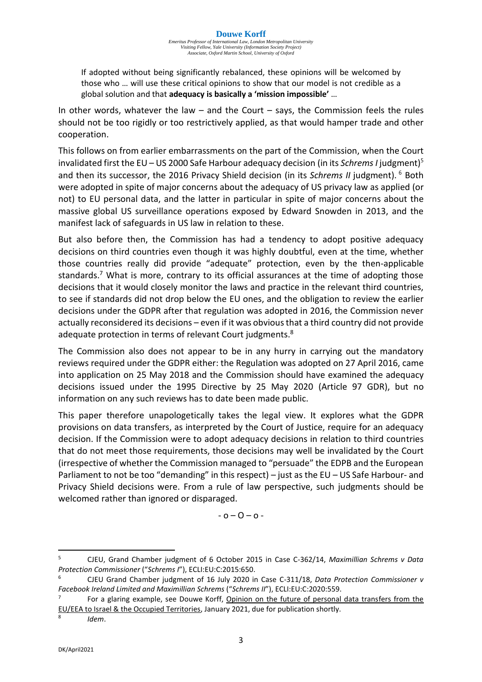If adopted without being significantly rebalanced, these opinions will be welcomed by those who … will use these critical opinions to show that our model is not credible as a global solution and that **adequacy is basically a 'mission impossible'** …

In other words, whatever the law  $-$  and the Court  $-$  says, the Commission feels the rules should not be too rigidly or too restrictively applied, as that would hamper trade and other cooperation.

This follows on from earlier embarrassments on the part of the Commission, when the Court invalidated first the EU – US 2000 Safe Harbour adequacy decision (in its *Schrems I* judgment)<sup>5</sup> and then its successor, the 2016 Privacy Shield decision (in its Schrems II judgment). <sup>6</sup> Both were adopted in spite of major concerns about the adequacy of US privacy law as applied (or not) to EU personal data, and the latter in particular in spite of major concerns about the massive global US surveillance operations exposed by Edward Snowden in 2013, and the manifest lack of safeguards in US law in relation to these.

But also before then, the Commission has had a tendency to adopt positive adequacy decisions on third countries even though it was highly doubtful, even at the time, whether those countries really did provide "adequate" protection, even by the then-applicable standards.<sup>7</sup> What is more, contrary to its official assurances at the time of adopting those decisions that it would closely monitor the laws and practice in the relevant third countries, to see if standards did not drop below the EU ones, and the obligation to review the earlier decisions under the GDPR after that regulation was adopted in 2016, the Commission never actually reconsidered its decisions – even if it was obvious that a third country did not provide adequate protection in terms of relevant Court judgments.<sup>8</sup>

The Commission also does not appear to be in any hurry in carrying out the mandatory reviews required under the GDPR either: the Regulation was adopted on 27 April 2016, came into application on 25 May 2018 and the Commission should have examined the adequacy decisions issued under the 1995 Directive by 25 May 2020 (Article 97 GDR), but no information on any such reviews has to date been made public.

This paper therefore unapologetically takes the legal view. It explores what the GDPR provisions on data transfers, as interpreted by the Court of Justice, require for an adequacy decision. If the Commission were to adopt adequacy decisions in relation to third countries that do not meet those requirements, those decisions may well be invalidated by the Court (irrespective of whether the Commission managed to "persuade" the EDPB and the European Parliament to not be too "demanding" in this respect) – just as the EU – US Safe Harbour- and Privacy Shield decisions were. From a rule of law perspective, such judgments should be welcomed rather than ignored or disparaged.

 $-0 - 0 - 0 -$ 

8 *Idem*.

<sup>5</sup> CJEU, Grand Chamber judgment of 6 October 2015 in Case C-362/14, *Maximillian Schrems v Data Protection Commissioner* ("*Schrems I*"), ECLI:EU:C:2015:650.

<sup>6</sup> CJEU Grand Chamber judgment of 16 July 2020 in Case C-311/18, *Data Protection Commissioner v Facebook Ireland Limited and Maximillian Schrems* ("*Schrems II*"), ECLI:EU:C:2020:559.

<sup>7</sup> For a glaring example, see Douwe Korff, Opinion on the future of personal data transfers from the EU/EEA to Israel & the Occupied Territories, January 2021, due for publication shortly.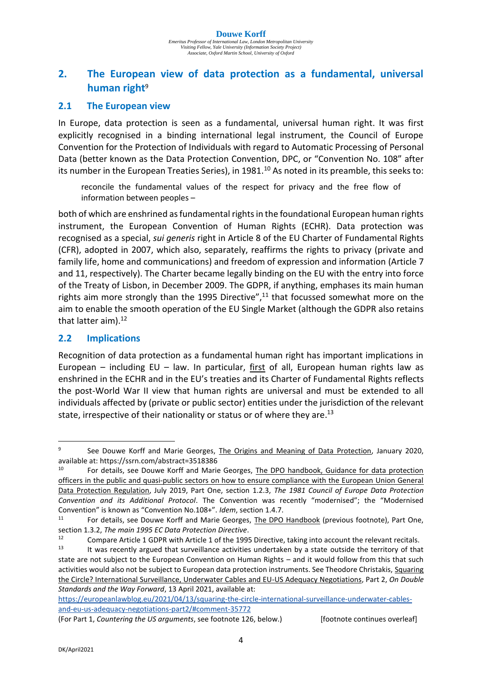# **2. The European view of data protection as a fundamental, universal human right**<sup>9</sup>

## **2.1 The European view**

In Europe, data protection is seen as a fundamental, universal human right. It was first explicitly recognised in a binding international legal instrument, the Council of Europe Convention for the Protection of Individuals with regard to Automatic Processing of Personal Data (better known as the Data Protection Convention, DPC, or "Convention No. 108" after its number in the European Treaties Series), in  $1981<sup>10</sup>$  As noted in its preamble, this seeks to:

reconcile the fundamental values of the respect for privacy and the free flow of information between peoples –

both of which are enshrined as fundamental rights in the foundational European human rights instrument, the European Convention of Human Rights (ECHR). Data protection was recognised as a special, *sui generis* right in Article 8 of the EU Charter of Fundamental Rights (CFR), adopted in 2007, which also, separately, reaffirms the rights to privacy (private and family life, home and communications) and freedom of expression and information (Article 7 and 11, respectively). The Charter became legally binding on the EU with the entry into force of the Treaty of Lisbon, in December 2009. The GDPR, if anything, emphases its main human rights aim more strongly than the 1995 Directive",<sup>11</sup> that focussed somewhat more on the aim to enable the smooth operation of the EU Single Market (although the GDPR also retains that latter aim). 12

# **2.2 Implications**

Recognition of data protection as a fundamental human right has important implications in European – including EU – law. In particular, first of all, European human rights law as enshrined in the ECHR and in the EU's treaties and its Charter of Fundamental Rights reflects the post-World War II view that human rights are universal and must be extended to all individuals affected by (private or public sector) entities under the jurisdiction of the relevant state, irrespective of their nationality or status or of where they are.<sup>13</sup>

[https://europeanlawblog.eu/2021/04/13/squaring-the-circle-international-surveillance-underwater-cables](https://europeanlawblog.eu/2021/04/13/squaring-the-circle-international-surveillance-underwater-cables-and-eu-us-adequacy-negotiations-part2/#comment-35772/)[and-eu-us-adequacy-negotiations-part2/#comment-35772](https://europeanlawblog.eu/2021/04/13/squaring-the-circle-international-surveillance-underwater-cables-and-eu-us-adequacy-negotiations-part2/#comment-35772/)

<sup>9</sup> See Douwe Korff and Marie Georges, The Origins and Meaning of Data Protection, January 2020, available at[: https://ssrn.com/abstract=3518386](https://ssrn.com/abstract=3518386)

<sup>&</sup>lt;sup>10</sup> For details, see Douwe Korff and Marie Georges, The DPO handbook, Guidance for data protection officers in the public and quasi‐public sectors on how to ensure compliance with the European Union General Data Protection Regulation, July 2019, Part One, section 1.2.3, *The 1981 Council of Europe Data Protection Convention and its Additional Protocol*. The Convention was recently "modernised"; the "Modernised Convention" is known as "Convention No.108+". *Idem*, section 1.4.7.

For details, see Douwe Korff and Marie Georges, The DPO Handbook (previous footnote), Part One, section 1.3.2, *The main 1995 EC Data Protection Directive*.

<sup>&</sup>lt;sup>12</sup> Compare Article 1 GDPR with Article 1 of the 1995 Directive, taking into account the relevant recitals.<br><sup>13</sup> H was recently argued that surveillance activities undertaken by a state outside the territory of that

It was recently argued that surveillance activities undertaken by a state outside the territory of that state are not subject to the European Convention on Human Rights – and it would follow from this that such activities would also not be subject to European data protection instruments. See Theodore Christakis, Squaring the Circle? International Surveillance, Underwater Cables and EU-US Adequacy Negotiations, Part 2, *On Double Standards and the Way Forward*, 13 April 2021, available at:

<sup>(</sup>For Part 1, *Countering the US arguments*, see footnote 126, below.) [footnote continues overleaf]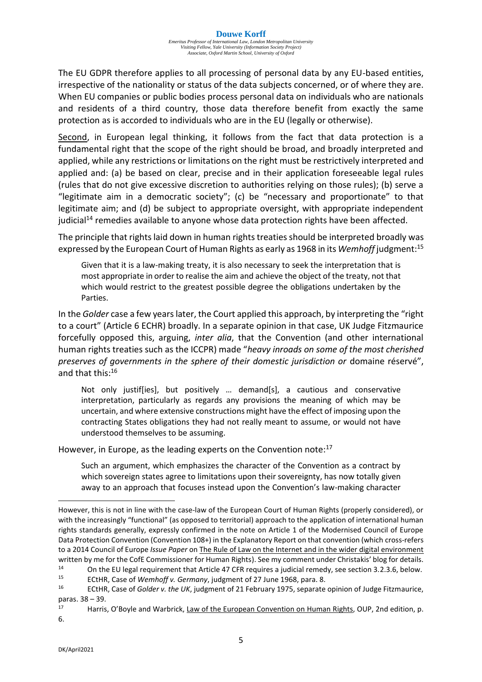The EU GDPR therefore applies to all processing of personal data by any EU-based entities, irrespective of the nationality or status of the data subjects concerned, or of where they are. When EU companies or public bodies process personal data on individuals who are nationals and residents of a third country, those data therefore benefit from exactly the same protection as is accorded to individuals who are in the EU (legally or otherwise).

Second, in European legal thinking, it follows from the fact that data protection is a fundamental right that the scope of the right should be broad, and broadly interpreted and applied, while any restrictions or limitations on the right must be restrictively interpreted and applied and: (a) be based on clear, precise and in their application foreseeable legal rules (rules that do not give excessive discretion to authorities relying on those rules); (b) serve a "legitimate aim in a democratic society"; (c) be "necessary and proportionate" to that legitimate aim; and (d) be subject to appropriate oversight, with appropriate independent judicial<sup>14</sup> remedies available to anyone whose data protection rights have been affected.

The principle that rights laid down in human rights treaties should be interpreted broadly was expressed by the European Court of Human Rights as early as 1968 in its *Wemhoff* judgment:<sup>15</sup>

Given that it is a law-making treaty, it is also necessary to seek the interpretation that is most appropriate in order to realise the aim and achieve the object of the treaty, not that which would restrict to the greatest possible degree the obligations undertaken by the Parties.

In the *Golder* case a few years later, the Court applied this approach, by interpreting the "right to a court" (Article 6 ECHR) broadly. In a separate opinion in that case, UK Judge Fitzmaurice forcefully opposed this, arguing, *inter alia*, that the Convention (and other international human rights treaties such as the ICCPR) made "*heavy inroads on some of the most cherished preserves of governments in the sphere of their domestic jurisdiction or* domaine réservé", and that this:<sup>16</sup>

Not only justif[ies], but positively … demand[s], a cautious and conservative interpretation, particularly as regards any provisions the meaning of which may be uncertain, and where extensive constructions might have the effect of imposing upon the contracting States obligations they had not really meant to assume, or would not have understood themselves to be assuming.

However, in Europe, as the leading experts on the Convention note: $17$ 

Such an argument, which emphasizes the character of the Convention as a contract by which sovereign states agree to limitations upon their sovereignty, has now totally given away to an approach that focuses instead upon the Convention's law-making character

However, this is not in line with the case-law of the European Court of Human Rights (properly considered), or with the increasingly "functional" (as opposed to territorial) approach to the application of international human rights standards generally, expressly confirmed in the note on Article 1 of the Modernised Council of Europe Data Protection Convention (Convention 108+) in the Explanatory Report on that convention (which cross-refers to a 2014 Council of Europe *Issue Paper* on The Rule of Law on the Internet and in the wider digital environment written by me for the CofE Commissioner for Human Rights). See my comment under Christakis' blog for details.<br><sup>14</sup> Christophe El Llogal requirement that Article 47 CEB requires a judicial remedy, see section 3.2.3.6, helew

<sup>&</sup>lt;sup>14</sup> On the EU legal requirement that Article 47 CFR requires a judicial remedy, see section 3.2.3.6, below.<br><sup>15</sup> CHIP Case of *Momhaff u. Cormany* judgment of 27 June 1068, para 8.

<sup>15</sup> ECtHR, Case of *Wemhoff v. Germany*, judgment of 27 June 1968, para. 8.

<sup>16</sup> ECtHR, Case of *Golder v. the UK*, judgment of 21 February 1975, separate opinion of Judge Fitzmaurice, paras. 38 – 39.

<sup>&</sup>lt;sup>17</sup> Harris, O'Boyle and Warbrick, Law of the European Convention on Human Rights, OUP, 2nd edition, p. 6.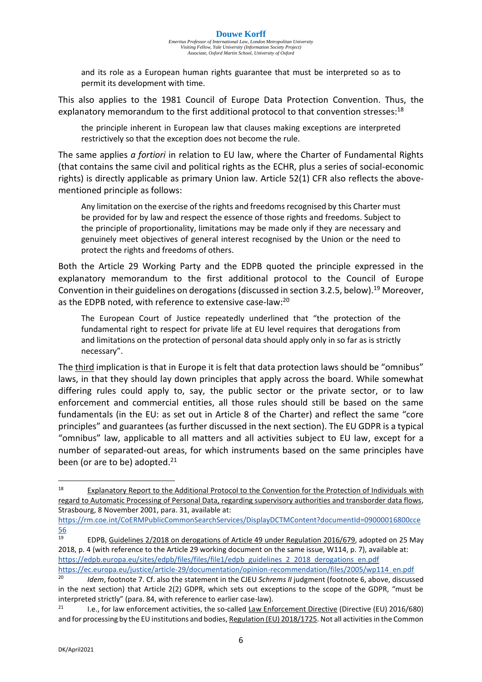and its role as a European human rights guarantee that must be interpreted so as to permit its development with time.

This also applies to the 1981 Council of Europe Data Protection Convention. Thus, the explanatory memorandum to the first additional protocol to that convention stresses:<sup>18</sup>

the principle inherent in European law that clauses making exceptions are interpreted restrictively so that the exception does not become the rule.

The same applies *a fortiori* in relation to EU law, where the Charter of Fundamental Rights (that contains the same civil and political rights as the ECHR, plus a series of social-economic rights) is directly applicable as primary Union law. Article 52(1) CFR also reflects the abovementioned principle as follows:

Any limitation on the exercise of the rights and freedoms recognised by this Charter must be provided for by law and respect the essence of those rights and freedoms. Subject to the principle of proportionality, limitations may be made only if they are necessary and genuinely meet objectives of general interest recognised by the Union or the need to protect the rights and freedoms of others.

Both the Article 29 Working Party and the EDPB quoted the principle expressed in the explanatory memorandum to the first additional protocol to the Council of Europe Convention in their guidelines on derogations (discussed in section 3.2.5, below).<sup>19</sup> Moreover, as the EDPB noted, with reference to extensive case-law:<sup>20</sup>

The European Court of Justice repeatedly underlined that "the protection of the fundamental right to respect for private life at EU level requires that derogations from and limitations on the protection of personal data should apply only in so far as is strictly necessary".

The third implication is that in Europe it is felt that data protection laws should be "omnibus" laws, in that they should lay down principles that apply across the board. While somewhat differing rules could apply to, say, the public sector or the private sector, or to law enforcement and commercial entities, all those rules should still be based on the same fundamentals (in the EU: as set out in Article 8 of the Charter) and reflect the same "core principles" and guarantees (as further discussed in the next section). The EU GDPR is a typical "omnibus" law, applicable to all matters and all activities subject to EU law, except for a number of separated-out areas, for which instruments based on the same principles have been (or are to be) adopted. $21$ 

<sup>&</sup>lt;sup>18</sup> Explanatory Report to the Additional Protocol to the Convention for the Protection of Individuals with regard to Automatic Processing of Personal Data, regarding supervisory authorities and transborder data flows, Strasbourg, 8 November 2001, para. 31, available at:

[https://rm.coe.int/CoERMPublicCommonSearchServices/DisplayDCTMContent?documentId=09000016800cce](https://rm.coe.int/CoERMPublicCommonSearchServices/DisplayDCTMContent?documentId=09000016800cce56)  $\frac{56}{19}$  $\frac{56}{19}$  $\frac{56}{19}$ 

<sup>19</sup> EDPB, Guidelines 2/2018 on derogations of Article 49 under Regulation 2016/679, adopted on 25 May 2018, p. 4 (with reference to the Article 29 working document on the same issue, W114, p. 7), available at: [https://edpb.europa.eu/sites/edpb/files/files/file1/edpb\\_guidelines\\_2\\_2018\\_derogations\\_en.pdf](https://edpb.europa.eu/sites/edpb/files/files/file1/edpb_guidelines_2_2018_derogations_en.pdf)

[https://ec.europa.eu/justice/article-29/documentation/opinion-recommendation/files/2005/wp114\\_en.pdf](https://ec.europa.eu/justice/article-29/documentation/opinion-recommendation/files/2005/wp114_en.pdf)

*Idem*, footnote 7. Cf. also the statement in the CJEU *Schrems II* judgment (footnote 6, above, discussed in the next section) that Article 2(2) GDPR, which sets out exceptions to the scope of the GDPR, "must be interpreted strictly" (para. 84, with reference to earlier case-law).

<sup>&</sup>lt;sup>21</sup> I.e., for law enforcement activities, the so-called Law Enforcement Directive (Directive (EU) 2016/680) and for processing by the EU institutions and bodies, Regulation (EU) 2018/1725. Not all activities in the Common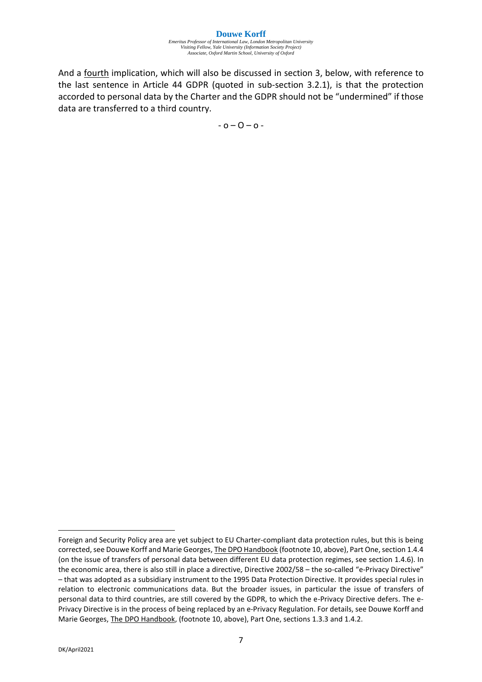#### **Douwe Korff** *Emeritus Professor of International Law, London Metropolitan University Visiting Fellow, Yale University (Information Society Project) Associate, Oxford Martin School, University of Oxford*

And a fourth implication, which will also be discussed in section 3, below, with reference to the last sentence in Article 44 GDPR (quoted in sub-section 3.2.1), is that the protection accorded to personal data by the Charter and the GDPR should not be "undermined" if those data are transferred to a third country.

 $-0 - 0 - 0 -$ 

Foreign and Security Policy area are yet subject to EU Charter-compliant data protection rules, but this is being corrected, see Douwe Korff and Marie Georges, The DPO Handbook (footnote 10, above), Part One, section 1.4.4 (on the issue of transfers of personal data between different EU data protection regimes, see section 1.4.6). In the economic area, there is also still in place a directive, Directive 2002/58 – the so-called "e-Privacy Directive" – that was adopted as a subsidiary instrument to the 1995 Data Protection Directive. It provides special rules in relation to electronic communications data. But the broader issues, in particular the issue of transfers of personal data to third countries, are still covered by the GDPR, to which the e-Privacy Directive defers. The e-Privacy Directive is in the process of being replaced by an e-Privacy Regulation. For details, see Douwe Korff and Marie Georges, The DPO Handbook, (footnote 10, above), Part One, sections 1.3.3 and 1.4.2.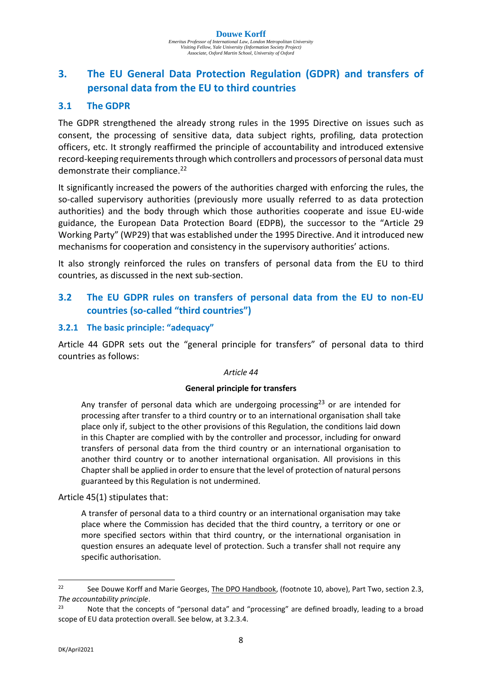# **3. The EU General Data Protection Regulation (GDPR) and transfers of personal data from the EU to third countries**

# **3.1 The GDPR**

The GDPR strengthened the already strong rules in the 1995 Directive on issues such as consent, the processing of sensitive data, data subject rights, profiling, data protection officers, etc. It strongly reaffirmed the principle of accountability and introduced extensive record-keeping requirements through which controllers and processors of personal data must demonstrate their compliance.<sup>22</sup>

It significantly increased the powers of the authorities charged with enforcing the rules, the so-called supervisory authorities (previously more usually referred to as data protection authorities) and the body through which those authorities cooperate and issue EU-wide guidance, the European Data Protection Board (EDPB), the successor to the "Article 29 Working Party" (WP29) that was established under the 1995 Directive. And it introduced new mechanisms for cooperation and consistency in the supervisory authorities' actions.

It also strongly reinforced the rules on transfers of personal data from the EU to third countries, as discussed in the next sub-section.

# **3.2 The EU GDPR rules on transfers of personal data from the EU to non-EU countries (so-called "third countries")**

#### **3.2.1 The basic principle: "adequacy"**

Article 44 GDPR sets out the "general principle for transfers" of personal data to third countries as follows:

#### *Article 44*

#### **General principle for transfers**

Any transfer of personal data which are undergoing processing<sup>23</sup> or are intended for processing after transfer to a third country or to an international organisation shall take place only if, subject to the other provisions of this Regulation, the conditions laid down in this Chapter are complied with by the controller and processor, including for onward transfers of personal data from the third country or an international organisation to another third country or to another international organisation. All provisions in this Chapter shall be applied in order to ensure that the level of protection of natural persons guaranteed by this Regulation is not undermined.

Article 45(1) stipulates that:

A transfer of personal data to a third country or an international organisation may take place where the Commission has decided that the third country, a territory or one or more specified sectors within that third country, or the international organisation in question ensures an adequate level of protection. Such a transfer shall not require any specific authorisation.

<sup>&</sup>lt;sup>22</sup> See Douwe Korff and Marie Georges, The DPO Handbook, (footnote 10, above), Part Two, section 2.3, *The accountability principle*.

<sup>&</sup>lt;sup>23</sup> Note that the concepts of "personal data" and "processing" are defined broadly, leading to a broad scope of EU data protection overall. See below, at 3.2.3.4.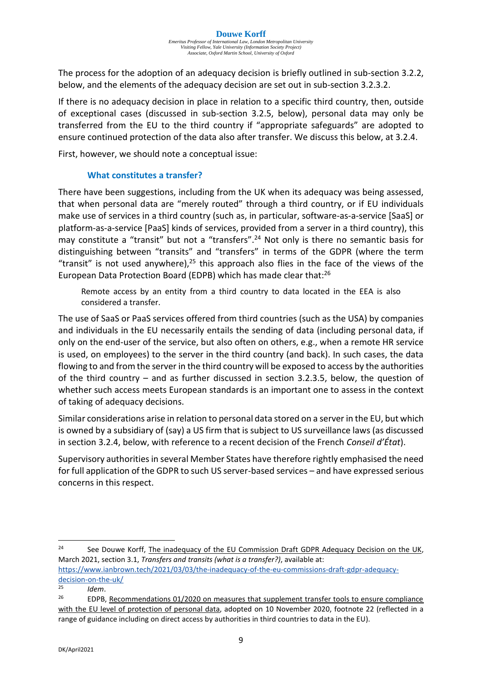The process for the adoption of an adequacy decision is briefly outlined in sub-section 3.2.2, below, and the elements of the adequacy decision are set out in sub-section 3.2.3.2.

If there is no adequacy decision in place in relation to a specific third country, then, outside of exceptional cases (discussed in sub-section 3.2.5, below), personal data may only be transferred from the EU to the third country if "appropriate safeguards" are adopted to ensure continued protection of the data also after transfer. We discuss this below, at 3.2.4.

First, however, we should note a conceptual issue:

#### **What constitutes a transfer?**

There have been suggestions, including from the UK when its adequacy was being assessed, that when personal data are "merely routed" through a third country, or if EU individuals make use of services in a third country (such as, in particular, software-as-a-service [SaaS] or platform-as-a-service [PaaS] kinds of services, provided from a server in a third country), this may constitute a "transit" but not a "transfers".<sup>24</sup> Not only is there no semantic basis for distinguishing between "transits" and "transfers" in terms of the GDPR (where the term "transit" is not used anywhere), $25$  this approach also flies in the face of the views of the European Data Protection Board (EDPB) which has made clear that:<sup>26</sup>

Remote access by an entity from a third country to data located in the EEA is also considered a transfer.

The use of SaaS or PaaS services offered from third countries (such as the USA) by companies and individuals in the EU necessarily entails the sending of data (including personal data, if only on the end-user of the service, but also often on others, e.g., when a remote HR service is used, on employees) to the server in the third country (and back). In such cases, the data flowing to and from the server in the third country will be exposed to access by the authorities of the third country – and as further discussed in section 3.2.3.5, below, the question of whether such access meets European standards is an important one to assess in the context of taking of adequacy decisions.

Similar considerations arise in relation to personal data stored on a server in the EU, but which is owned by a subsidiary of (say) a US firm that is subject to US surveillance laws (as discussed in section 3.2.4, below, with reference to a recent decision of the French *Conseil d'État*).

Supervisory authorities in several Member States have therefore rightly emphasised the need for full application of the GDPR to such US server-based services – and have expressed serious concerns in this respect.

<sup>&</sup>lt;sup>24</sup> See Douwe Korff, The inadequacy of the EU Commission Draft GDPR Adequacy Decision on the UK, March 2021, section 3.1, *Transfers and transits (what is a transfer?)*, available at:

[https://www.ianbrown.tech/2021/03/03/the-inadequacy-of-the-eu-commissions-draft-gdpr-adequacy](https://www.ianbrown.tech/2021/03/03/the-inadequacy-of-the-eu-commissions-draft-gdpr-adequacy-decision-on-the-uk/)[decision-on-the-uk/](https://www.ianbrown.tech/2021/03/03/the-inadequacy-of-the-eu-commissions-draft-gdpr-adequacy-decision-on-the-uk/)<br>25

 $25$  *Idem*.

<sup>26</sup> EDPB, Recommendations 01/2020 on measures that supplement transfer tools to ensure compliance with the EU level of protection of personal data, adopted on 10 November 2020, footnote 22 (reflected in a range of guidance including on direct access by authorities in third countries to data in the EU).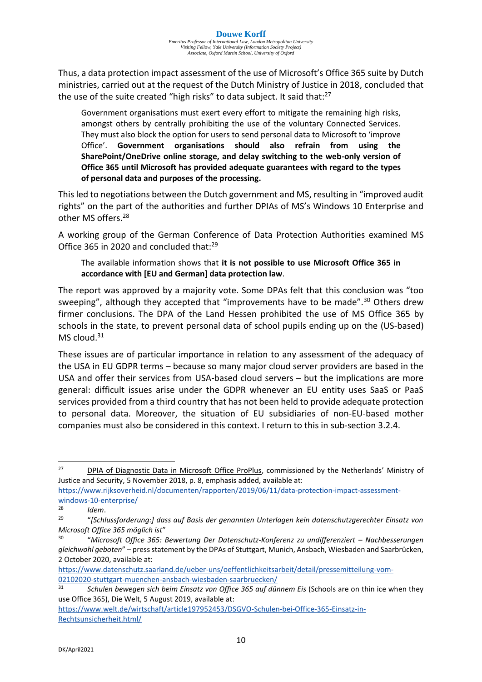Thus, a data protection impact assessment of the use of Microsoft's Office 365 suite by Dutch ministries, carried out at the request of the Dutch Ministry of Justice in 2018, concluded that the use of the suite created "high risks" to data subject. It said that:<sup>27</sup>

Government organisations must exert every effort to mitigate the remaining high risks, amongst others by centrally prohibiting the use of the voluntary Connected Services. They must also block the option for users to send personal data to Microsoft to 'improve Office'. **Government organisations should also refrain from using the SharePoint/OneDrive online storage, and delay switching to the web-only version of Office 365 until Microsoft has provided adequate guarantees with regard to the types of personal data and purposes of the processing.**

This led to negotiations between the Dutch government and MS, resulting in "improved audit rights" on the part of the authorities and further DPIAs of MS's Windows 10 Enterprise and other MS offers.<sup>28</sup>

A working group of the German Conference of Data Protection Authorities examined MS Office 365 in 2020 and concluded that:<sup>29</sup>

The available information shows that **it is not possible to use Microsoft Office 365 in accordance with [EU and German] data protection law**.

The report was approved by a majority vote. Some DPAs felt that this conclusion was "too sweeping", although they accepted that "improvements have to be made".<sup>30</sup> Others drew firmer conclusions. The DPA of the Land Hessen prohibited the use of MS Office 365 by schools in the state, to prevent personal data of school pupils ending up on the (US-based)  $MS$  cloud.<sup>31</sup>

These issues are of particular importance in relation to any assessment of the adequacy of the USA in EU GDPR terms – because so many major cloud server providers are based in the USA and offer their services from USA-based cloud servers – but the implications are more general: difficult issues arise under the GDPR whenever an EU entity uses SaaS or PaaS services provided from a third country that has not been held to provide adequate protection to personal data. Moreover, the situation of EU subsidiaries of non-EU-based mother companies must also be considered in this context. I return to this in sub-section 3.2.4.

<sup>&</sup>lt;sup>27</sup> DPIA of Diagnostic Data in Microsoft Office ProPlus, commissioned by the Netherlands' Ministry of Justice and Security, 5 November 2018, p. 8, emphasis added, available at:

[https://www.rijksoverheid.nl/documenten/rapporten/2019/06/11/data-protection-impact-assessment](https://www.rijksoverheid.nl/documenten/rapporten/2019/06/11/data-protection-impact-assessment-windows-10-enterprise/)[windows-10-enterprise/](https://www.rijksoverheid.nl/documenten/rapporten/2019/06/11/data-protection-impact-assessment-windows-10-enterprise/)

*Idem.* 

<sup>29</sup> "*[Schlussforderung:] dass auf Basis der genannten Unterlagen kein datenschutzgerechter Einsatz von Microsoft Office 365 möglich ist*"

<sup>30</sup> "Microsoft Office 365: Bewertung Der Datenschutz-Konferenz zu undifferenziert – Nachbesserungen *gleichwohl geboten*" – press statement by the DPAs of Stuttgart, Munich, Ansbach, Wiesbaden and Saarbrücken, 2 October 2020, available at:

[https://www.datenschutz.saarland.de/ueber-uns/oeffentlichkeitsarbeit/detail/pressemitteilung-vom-](https://www.datenschutz.saarland.de/ueber-uns/oeffentlichkeitsarbeit/detail/pressemitteilung-vom-02102020-stuttgart-muenchen-ansbach-wiesbaden-saarbruecken/)[02102020-stuttgart-muenchen-ansbach-wiesbaden-saarbruecken/](https://www.datenschutz.saarland.de/ueber-uns/oeffentlichkeitsarbeit/detail/pressemitteilung-vom-02102020-stuttgart-muenchen-ansbach-wiesbaden-saarbruecken/)

<sup>31</sup> *Schulen bewegen sich beim Einsatz von Office 365 auf dünnem Eis* (Schools are on thin ice when they use Office 365), Die Welt, 5 August 2019, available at:

[https://www.welt.de/wirtschaft/article197952453/DSGVO-Schulen-bei-Office-365-Einsatz-in-](https://www.welt.de/wirtschaft/article197952453/DSGVO-Schulen-bei-Office-365-Einsatz-in-Rechtsunsicherheit.html/)[Rechtsunsicherheit.html/](https://www.welt.de/wirtschaft/article197952453/DSGVO-Schulen-bei-Office-365-Einsatz-in-Rechtsunsicherheit.html/)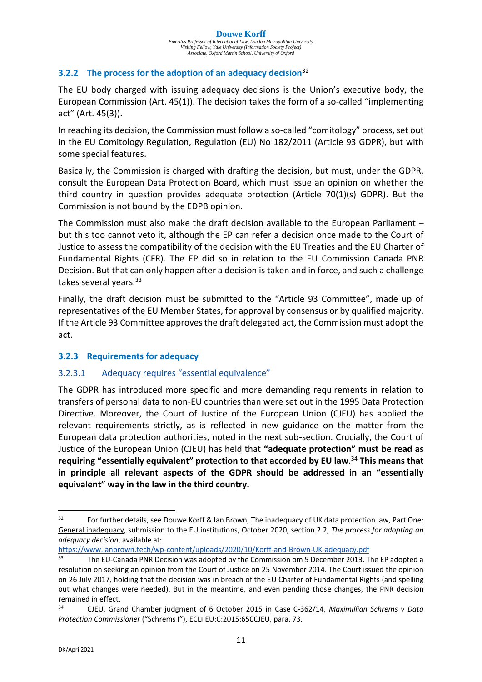*Emeritus Professor of International Law, London Metropolitan University Visiting Fellow, Yale University (Information Society Project) Associate, Oxford Martin School, University of Oxford*

#### **3.2.2 The process for the adoption of an adequacy decision**<sup>32</sup>

The EU body charged with issuing adequacy decisions is the Union's executive body, the European Commission (Art. 45(1)). The decision takes the form of a so-called "implementing act" (Art. 45(3)).

In reaching its decision, the Commission must follow a so-called "comitology" process, set out in the EU Comitology Regulation, Regulation (EU) No 182/2011 (Article 93 GDPR), but with some special features.

Basically, the Commission is charged with drafting the decision, but must, under the GDPR, consult the European Data Protection Board, which must issue an opinion on whether the third country in question provides adequate protection (Article 70(1)(s) GDPR). But the Commission is not bound by the EDPB opinion.

The Commission must also make the draft decision available to the European Parliament – but this too cannot veto it, although the EP can refer a decision once made to the Court of Justice to assess the compatibility of the decision with the EU Treaties and the EU Charter of Fundamental Rights (CFR). The EP did so in relation to the EU Commission Canada PNR Decision. But that can only happen after a decision is taken and in force, and such a challenge takes several years.<sup>33</sup>

Finally, the draft decision must be submitted to the "Article 93 Committee", made up of representatives of the EU Member States, for approval by consensus or by qualified majority. If the Article 93 Committee approves the draft delegated act, the Commission must adopt the act.

#### **3.2.3 Requirements for adequacy**

#### 3.2.3.1 Adequacy requires "essential equivalence"

The GDPR has introduced more specific and more demanding requirements in relation to transfers of personal data to non-EU countries than were set out in the 1995 Data Protection Directive. Moreover, the Court of Justice of the European Union (CJEU) has applied the relevant requirements strictly, as is reflected in new guidance on the matter from the European data protection authorities, noted in the next sub-section. Crucially, the Court of Justice of the European Union (CJEU) has held that **"adequate protection" must be read as requiring "essentially equivalent" protection to that accorded by EU law**. <sup>34</sup> **This means that in principle all relevant aspects of the GDPR should be addressed in an "essentially equivalent" way in the law in the third country.**

[https://www.ianbrown.tech/wp-content/uploads/2020/10/Korff-and-Brown-UK-adequacy.pdf](https://www.ianbrown.tech/wp-content/uploads/2020/10/Korff-and-Brown-UK-adequacy.pdf/)

<sup>&</sup>lt;sup>32</sup> For further details, see Douwe Korff & Ian Brown, The inadequacy of UK data protection law, Part One: General inadequacy, submission to the EU institutions, October 2020, section 2.2, *The process for adopting an adequacy decision*, available at:

<sup>&</sup>lt;sup>33</sup> The EU-Canada PNR Decision was adopted by the Commission om 5 December 2013. The EP adopted a resolution on seeking an opinion from the Court of Justice on 25 November 2014. The Court issued the opinion on 26 July 2017, holding that the decision was in breach of the EU Charter of Fundamental Rights (and spelling out what changes were needed). But in the meantime, and even pending those changes, the PNR decision remained in effect.

<sup>34</sup> CJEU, Grand Chamber judgment of 6 October 2015 in Case C-362/14, *Maximillian Schrems v Data Protection Commissioner* ("Schrems I"), ECLI:EU:C:2015:650CJEU, para. 73.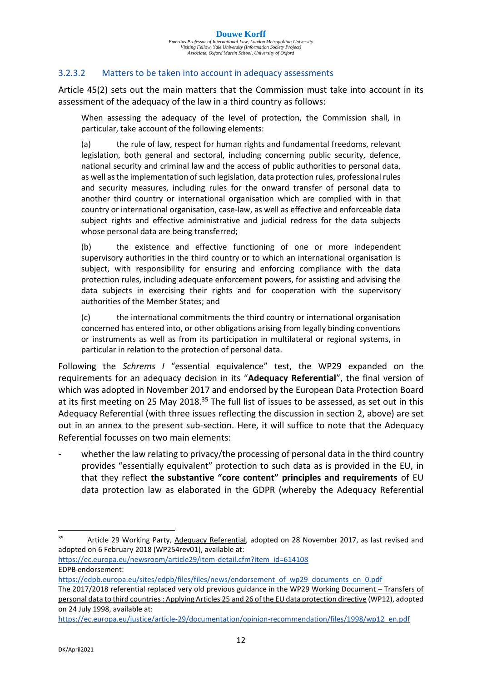#### 3.2.3.2 Matters to be taken into account in adequacy assessments

Article 45(2) sets out the main matters that the Commission must take into account in its assessment of the adequacy of the law in a third country as follows:

When assessing the adequacy of the level of protection, the Commission shall, in particular, take account of the following elements:

(a) the rule of law, respect for human rights and fundamental freedoms, relevant legislation, both general and sectoral, including concerning public security, defence, national security and criminal law and the access of public authorities to personal data, as well asthe implementation of such legislation, data protection rules, professional rules and security measures, including rules for the onward transfer of personal data to another third country or international organisation which are complied with in that country or international organisation, case-law, as well as effective and enforceable data subject rights and effective administrative and judicial redress for the data subjects whose personal data are being transferred;

(b) the existence and effective functioning of one or more independent supervisory authorities in the third country or to which an international organisation is subject, with responsibility for ensuring and enforcing compliance with the data protection rules, including adequate enforcement powers, for assisting and advising the data subjects in exercising their rights and for cooperation with the supervisory authorities of the Member States; and

(c) the international commitments the third country or international organisation concerned has entered into, or other obligations arising from legally binding conventions or instruments as well as from its participation in multilateral or regional systems, in particular in relation to the protection of personal data.

Following the *Schrems I* "essential equivalence" test, the WP29 expanded on the requirements for an adequacy decision in its "**Adequacy Referential**", the final version of which was adopted in November 2017 and endorsed by the European Data Protection Board at its first meeting on 25 May 2018.<sup>35</sup> The full list of issues to be assessed, as set out in this Adequacy Referential (with three issues reflecting the discussion in section 2, above) are set out in an annex to the present sub-section. Here, it will suffice to note that the Adequacy Referential focusses on two main elements:

whether the law relating to privacy/the processing of personal data in the third country provides "essentially equivalent" protection to such data as is provided in the EU, in that they reflect **the substantive "core content" principles and requirements** of EU data protection law as elaborated in the GDPR (whereby the Adequacy Referential

<sup>35</sup> Article 29 Working Party, Adequacy Referential, adopted on 28 November 2017, as last revised and adopted on 6 February 2018 (WP254rev01), available at:

[https://ec.europa.eu/newsroom/article29/item-detail.cfm?item\\_id=614108](https://ec.europa.eu/newsroom/article29/item-detail.cfm?item_id=614108/) EDPB endorsement:

[https://edpb.europa.eu/sites/edpb/files/files/news/endorsement\\_of\\_wp29\\_documents\\_en\\_0.pdf](https://edpb.europa.eu/sites/edpb/files/files/news/endorsement_of_wp29_documents_en_0.pdf/)

The 2017/2018 referential replaced very old previous guidance in the WP29 Working Document – Transfers of personal data to third countries : Applying Articles 25 and 26 of the EU data protection directive (WP12), adopted on 24 July 1998, available at:

[https://ec.europa.eu/justice/article-29/documentation/opinion-recommendation/files/1998/wp12\\_en.pdf](https://ec.europa.eu/justice/article-29/documentation/opinion-recommendation/files/1998/wp12_en.pdf/)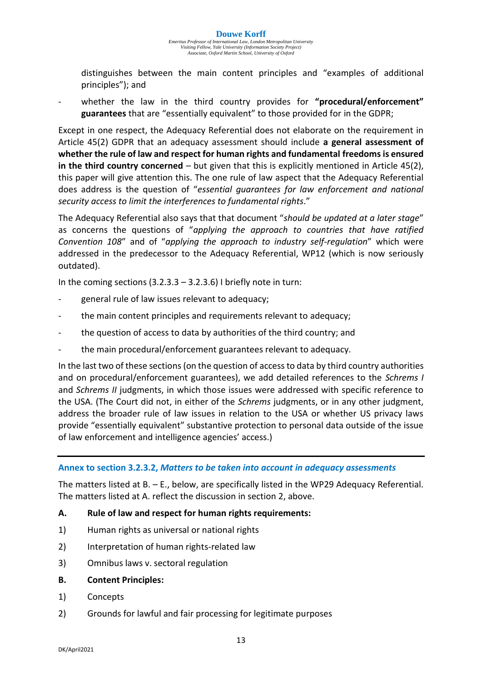distinguishes between the main content principles and "examples of additional principles"); and

whether the law in the third country provides for "procedural/enforcement" **guarantees** that are "essentially equivalent" to those provided for in the GDPR;

Except in one respect, the Adequacy Referential does not elaborate on the requirement in Article 45(2) GDPR that an adequacy assessment should include **a general assessment of whether the rule of law and respect for human rights and fundamental freedoms is ensured in the third country concerned** – but given that this is explicitly mentioned in Article 45(2), this paper will give attention this. The one rule of law aspect that the Adequacy Referential does address is the question of "*essential guarantees for law enforcement and national security access to limit the interferences to fundamental rights*."

The Adequacy Referential also says that that document "*should be updated at a later stage*" as concerns the questions of "*applying the approach to countries that have ratified Convention 108*" and of "*applying the approach to industry self-regulation*" which were addressed in the predecessor to the Adequacy Referential, WP12 (which is now seriously outdated).

In the coming sections  $(3.2.3.3 - 3.2.3.6)$  I briefly note in turn:

- general rule of law issues relevant to adequacy;
- the main content principles and requirements relevant to adequacy;
- the question of access to data by authorities of the third country; and
- the main procedural/enforcement guarantees relevant to adequacy.

In the last two of these sections (on the question of access to data by third country authorities and on procedural/enforcement guarantees), we add detailed references to the *Schrems I* and *Schrems II* judgments, in which those issues were addressed with specific reference to the USA. (The Court did not, in either of the *Schrems* judgments, or in any other judgment, address the broader rule of law issues in relation to the USA or whether US privacy laws provide "essentially equivalent" substantive protection to personal data outside of the issue of law enforcement and intelligence agencies' access.)

#### **Annex to section 3.2.3.2,** *Matters to be taken into account in adequacy assessments*

The matters listed at B. – E., below, are specifically listed in the WP29 Adequacy Referential. The matters listed at A. reflect the discussion in section 2, above.

#### **A. Rule of law and respect for human rights requirements:**

- 1) Human rights as universal or national rights
- 2) Interpretation of human rights-related law
- 3) Omnibus laws v. sectoral regulation
- **B. Content Principles:**
- 1) Concepts
- 2) Grounds for lawful and fair processing for legitimate purposes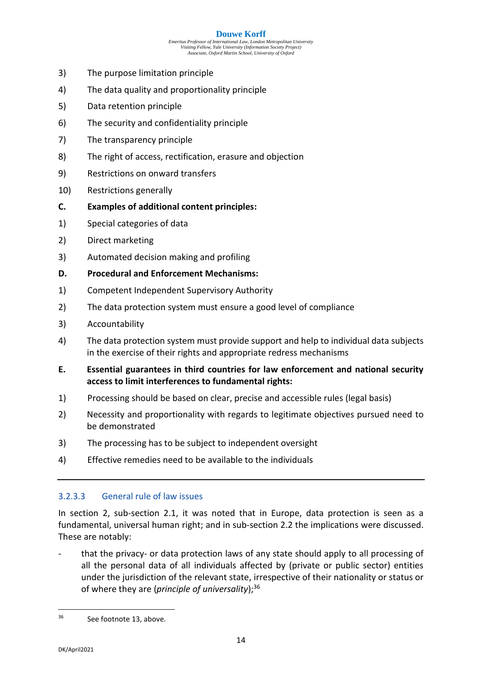#### **Douwe Korff**

*Emeritus Professor of International Law, London Metropolitan University Visiting Fellow, Yale University (Information Society Project) Associate, Oxford Martin School, University of Oxford*

- 3) The purpose limitation principle
- 4) The data quality and proportionality principle
- 5) Data retention principle
- 6) The security and confidentiality principle
- 7) The transparency principle
- 8) The right of access, rectification, erasure and objection
- 9) Restrictions on onward transfers
- 10) Restrictions generally
- **C. Examples of additional content principles:**
- 1) Special categories of data
- 2) Direct marketing
- 3) Automated decision making and profiling
- **D. Procedural and Enforcement Mechanisms:**
- 1) Competent Independent Supervisory Authority
- 2) The data protection system must ensure a good level of compliance
- 3) Accountability
- 4) The data protection system must provide support and help to individual data subjects in the exercise of their rights and appropriate redress mechanisms
- **E. Essential guarantees in third countries for law enforcement and national security access to limit interferences to fundamental rights:**
- 1) Processing should be based on clear, precise and accessible rules (legal basis)
- 2) Necessity and proportionality with regards to legitimate objectives pursued need to be demonstrated
- 3) The processing has to be subject to independent oversight
- 4) Effective remedies need to be available to the individuals

#### 3.2.3.3 General rule of law issues

In section 2, sub-section 2.1, it was noted that in Europe, data protection is seen as a fundamental, universal human right; and in sub-section 2.2 the implications were discussed. These are notably:

- that the privacy- or data protection laws of any state should apply to all processing of all the personal data of all individuals affected by (private or public sector) entities under the jurisdiction of the relevant state, irrespective of their nationality or status or of where they are (*principle of universality*);<sup>36</sup>

<sup>36</sup> See footnote 13, above.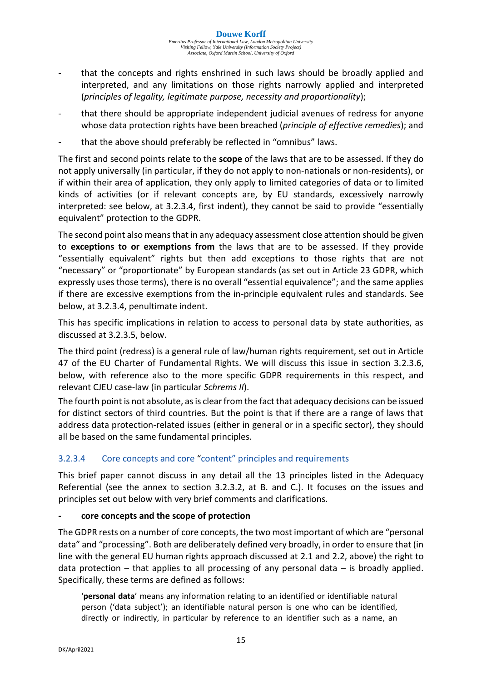- that the concepts and rights enshrined in such laws should be broadly applied and interpreted, and any limitations on those rights narrowly applied and interpreted (*principles of legality, legitimate purpose, necessity and proportionality*);
- that there should be appropriate independent judicial avenues of redress for anyone whose data protection rights have been breached (*principle of effective remedies*); and
- that the above should preferably be reflected in "omnibus" laws.

The first and second points relate to the **scope** of the laws that are to be assessed. If they do not apply universally (in particular, if they do not apply to non-nationals or non-residents), or if within their area of application, they only apply to limited categories of data or to limited kinds of activities (or if relevant concepts are, by EU standards, excessively narrowly interpreted: see below, at 3.2.3.4, first indent), they cannot be said to provide "essentially equivalent" protection to the GDPR.

The second point also means that in any adequacy assessment close attention should be given to **exceptions to or exemptions from** the laws that are to be assessed. If they provide "essentially equivalent" rights but then add exceptions to those rights that are not "necessary" or "proportionate" by European standards (as set out in Article 23 GDPR, which expressly uses those terms), there is no overall "essential equivalence"; and the same applies if there are excessive exemptions from the in-principle equivalent rules and standards. See below, at 3.2.3.4, penultimate indent.

This has specific implications in relation to access to personal data by state authorities, as discussed at 3.2.3.5, below.

The third point (redress) is a general rule of law/human rights requirement, set out in Article 47 of the EU Charter of Fundamental Rights. We will discuss this issue in section 3.2.3.6, below, with reference also to the more specific GDPR requirements in this respect, and relevant CJEU case-law (in particular *Schrems II*).

The fourth point is not absolute, as is clear from the fact that adequacy decisions can be issued for distinct sectors of third countries. But the point is that if there are a range of laws that address data protection-related issues (either in general or in a specific sector), they should all be based on the same fundamental principles.

#### 3.2.3.4 Core concepts and core "content" principles and requirements

This brief paper cannot discuss in any detail all the 13 principles listed in the Adequacy Referential (see the annex to section 3.2.3.2, at B. and C.). It focuses on the issues and principles set out below with very brief comments and clarifications.

#### **- core concepts and the scope of protection**

The GDPR rests on a number of core concepts, the two most important of which are "personal data" and "processing". Both are deliberately defined very broadly, in order to ensure that (in line with the general EU human rights approach discussed at 2.1 and 2.2, above) the right to data protection  $-$  that applies to all processing of any personal data  $-$  is broadly applied. Specifically, these terms are defined as follows:

'**personal data**' means any information relating to an identified or identifiable natural person ('data subject'); an identifiable natural person is one who can be identified, directly or indirectly, in particular by reference to an identifier such as a name, an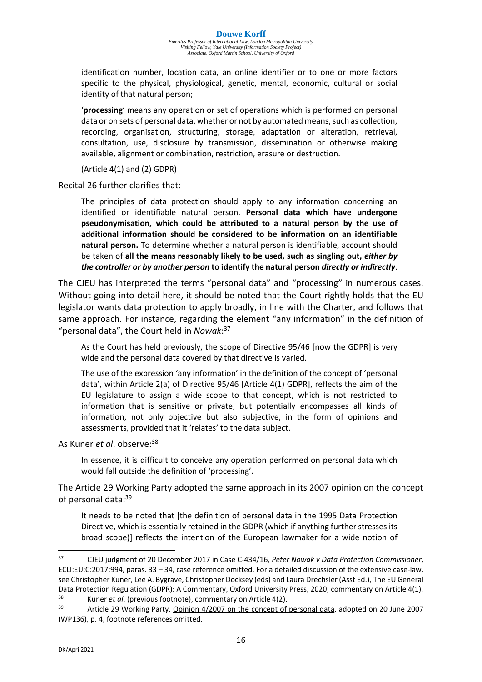identification number, location data, an online identifier or to one or more factors specific to the physical, physiological, genetic, mental, economic, cultural or social identity of that natural person;

'**processing**' means any operation or set of operations which is performed on personal data or on sets of personal data, whether or not by automated means, such as collection, recording, organisation, structuring, storage, adaptation or alteration, retrieval, consultation, use, disclosure by transmission, dissemination or otherwise making available, alignment or combination, restriction, erasure or destruction.

(Article 4(1) and (2) GDPR)

Recital 26 further clarifies that:

The principles of data protection should apply to any information concerning an identified or identifiable natural person. **Personal data which have undergone pseudonymisation, which could be attributed to a natural person by the use of additional information should be considered to be information on an identifiable natural person.** To determine whether a natural person is identifiable, account should be taken of **all the means reasonably likely to be used, such as singling out,** *either by the controller or by another person* **to identify the natural person** *directly or indirectly*.

The CJEU has interpreted the terms "personal data" and "processing" in numerous cases. Without going into detail here, it should be noted that the Court rightly holds that the EU legislator wants data protection to apply broadly, in line with the Charter, and follows that same approach. For instance, regarding the element "any information" in the definition of "personal data", the Court held in *Nowak*: 37

As the Court has held previously, the scope of Directive 95/46 [now the GDPR] is very wide and the personal data covered by that directive is varied.

The use of the expression 'any information' in the definition of the concept of 'personal data', within Article 2(a) of Directive 95/46 [Article 4(1) GDPR], reflects the aim of the EU legislature to assign a wide scope to that concept, which is not restricted to information that is sensitive or private, but potentially encompasses all kinds of information, not only objective but also subjective, in the form of opinions and assessments, provided that it 'relates' to the data subject.

As Kuner *et al*. observe:<sup>38</sup>

In essence, it is difficult to conceive any operation performed on personal data which would fall outside the definition of 'processing'.

The Article 29 Working Party adopted the same approach in its 2007 opinion on the concept of personal data:<sup>39</sup>

It needs to be noted that [the definition of personal data in the 1995 Data Protection Directive, which is essentially retained in the GDPR (which if anything further stresses its broad scope)] reflects the intention of the European lawmaker for a wide notion of

<sup>37</sup> CJEU judgment of 20 December 2017 in Case C-434/16, *Peter Nowak v Data Protection Commissioner*, ECLI:EU:C:2017:994, paras. 33 – 34, case reference omitted. For a detailed discussion of the extensive case-law, see Christopher Kuner, Lee A. Bygrave, Christopher Docksey (eds) and Laura Drechsler (Asst Ed.), The EU General Data Protection Regulation (GDPR): A Commentary, Oxford University Press, 2020, commentary on Article 4(1).

<sup>38</sup> Kuner *et al*. (previous footnote), commentary on Article 4(2).

<sup>39</sup> Article 29 Working Party, Opinion 4/2007 on the concept of personal data, adopted on 20 June 2007 (WP136), p. 4, footnote references omitted.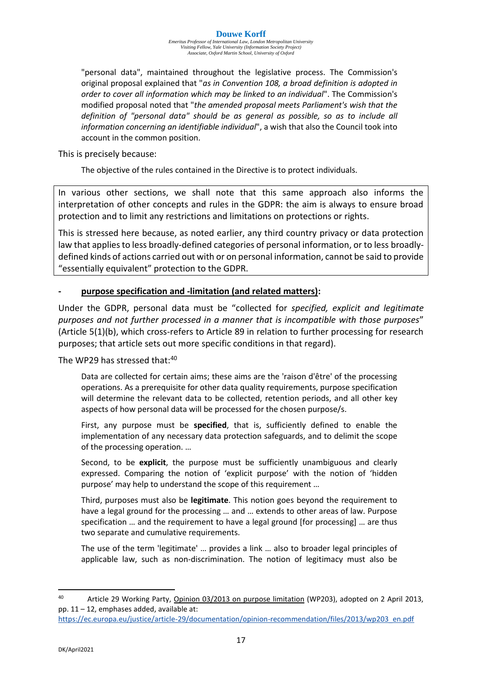*Emeritus Professor of International Law, London Metropolitan University Visiting Fellow, Yale University (Information Society Project) Associate, Oxford Martin School, University of Oxford*

"personal data", maintained throughout the legislative process. The Commission's original proposal explained that "*as in Convention 108, a broad definition is adopted in order to cover all information which may be linked to an individual*". The Commission's modified proposal noted that "*the amended proposal meets Parliament's wish that the definition of "personal data" should be as general as possible, so as to include all information concerning an identifiable individual*", a wish that also the Council took into account in the common position.

This is precisely because:

The objective of the rules contained in the Directive is to protect individuals.

In various other sections, we shall note that this same approach also informs the interpretation of other concepts and rules in the GDPR: the aim is always to ensure broad protection and to limit any restrictions and limitations on protections or rights.

This is stressed here because, as noted earlier, any third country privacy or data protection law that applies to less broadly-defined categories of personal information, or to less broadlydefined kinds of actions carried out with or on personal information, cannot be said to provide "essentially equivalent" protection to the GDPR.

#### **- purpose specification and -limitation (and related matters):**

Under the GDPR, personal data must be "collected for *specified, explicit and legitimate purposes and not further processed in a manner that is incompatible with those purposes*" (Article 5(1)(b), which cross-refers to Article 89 in relation to further processing for research purposes; that article sets out more specific conditions in that regard).

The WP29 has stressed that:<sup>40</sup>

Data are collected for certain aims; these aims are the 'raison d'être' of the processing operations. As a prerequisite for other data quality requirements, purpose specification will determine the relevant data to be collected, retention periods, and all other key aspects of how personal data will be processed for the chosen purpose/s.

First, any purpose must be **specified**, that is, sufficiently defined to enable the implementation of any necessary data protection safeguards, and to delimit the scope of the processing operation. …

Second, to be **explicit**, the purpose must be sufficiently unambiguous and clearly expressed. Comparing the notion of 'explicit purpose' with the notion of 'hidden purpose' may help to understand the scope of this requirement …

Third, purposes must also be **legitimate**. This notion goes beyond the requirement to have a legal ground for the processing … and … extends to other areas of law. Purpose specification … and the requirement to have a legal ground [for processing] … are thus two separate and cumulative requirements.

The use of the term 'legitimate' … provides a link … also to broader legal principles of applicable law, such as non-discrimination. The notion of legitimacy must also be

<sup>40</sup> Article 29 Working Party, Opinion 03/2013 on purpose limitation (WP203), adopted on 2 April 2013, pp. 11 – 12, emphases added, available at:

[https://ec.europa.eu/justice/article-29/documentation/opinion-recommendation/files/2013/wp203\\_en.pdf](https://ec.europa.eu/justice/article-29/documentation/opinion-recommendation/files/2013/wp203_en.pdf)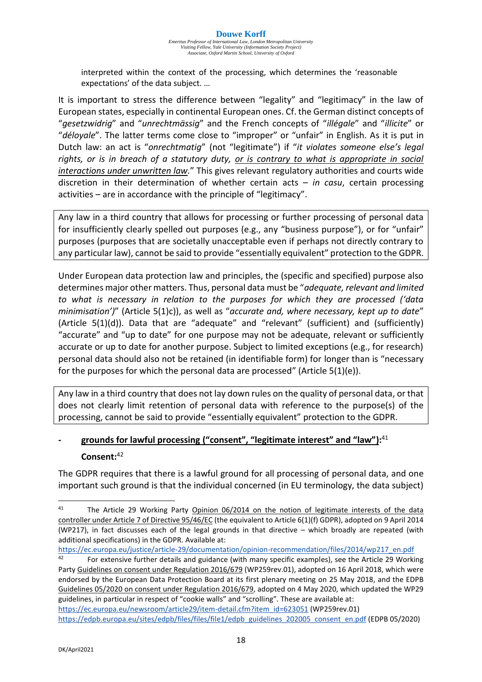interpreted within the context of the processing, which determines the 'reasonable expectations' of the data subject. …

It is important to stress the difference between "legality" and "legitimacy" in the law of European states, especially in continental European ones. Cf. the German distinct concepts of "*gesetzwidrig*" and "*unrechtmässig*" and the French concepts of "*illégale*" and "*illicite*" or "*déloyale*". The latter terms come close to "improper" or "unfair" in English. As it is put in Dutch law: an act is "*onrechtmatig*" (not "legitimate") if "*it violates someone else's legal rights, or is in breach of a statutory duty, or is contrary to what is appropriate in social interactions under unwritten law.*" This gives relevant regulatory authorities and courts wide discretion in their determination of whether certain acts – *in casu*, certain processing activities – are in accordance with the principle of "legitimacy".

Any law in a third country that allows for processing or further processing of personal data for insufficiently clearly spelled out purposes (e.g., any "business purpose"), or for "unfair" purposes (purposes that are societally unacceptable even if perhaps not directly contrary to any particular law), cannot be said to provide "essentially equivalent" protection to the GDPR.

Under European data protection law and principles, the (specific and specified) purpose also determines major other matters. Thus, personal data must be "*adequate, relevant and limited to what is necessary in relation to the purposes for which they are processed ('data minimisation')*" (Article 5(1)c)), as well as "*accurate and, where necessary, kept up to date*" (Article 5(1)(d)). Data that are "adequate" and "relevant" (sufficient) and (sufficiently) "accurate" and "up to date" for one purpose may not be adequate, relevant or sufficiently accurate or up to date for another purpose. Subject to limited exceptions (e.g., for research) personal data should also not be retained (in identifiable form) for longer than is "necessary for the purposes for which the personal data are processed" (Article 5(1)(e)).

Any law in a third country that does not lay down rules on the quality of personal data, or that does not clearly limit retention of personal data with reference to the purpose(s) of the processing, cannot be said to provide "essentially equivalent" protection to the GDPR.

# **- grounds for lawful processing ("consent", "legitimate interest" and "law"):** 41 **Consent:**<sup>42</sup>

The GDPR requires that there is a lawful ground for all processing of personal data, and one important such ground is that the individual concerned (in EU terminology, the data subject)

[https://ec.europa.eu/justice/article-29/documentation/opinion-recommendation/files/2014/wp217\\_en.pdf](https://ec.europa.eu/justice/article-29/documentation/opinion-recommendation/files/2014/wp217_en.pdf)<br>42 Enclose further details and quidance (with many specific examples), see the Article 29 Worki

<sup>42</sup> For extensive further details and guidance (with many specific examples), see the Article 29 Working Party Guidelines on consent under Regulation 2016/679 (WP259rev.01), adopted on 16 April 2018, which were endorsed by the European Data Protection Board at its first plenary meeting on 25 May 2018, and the EDPB Guidelines 05/2020 on consent under Regulation 2016/679, adopted on 4 May 2020, which updated the WP29 guidelines, in particular in respect of "cookie walls" and "scrolling". These are available at: [https://ec.europa.eu/newsroom/article29/item-detail.cfm?item\\_id=623051](https://ec.europa.eu/newsroom/article29/item-detail.cfm?item_id=623051) (WP259rev.01)

<sup>&</sup>lt;sup>41</sup> The Article 29 Working Party Opinion 06/2014 on the notion of legitimate interests of the data controller under Article 7 of Directive 95/46/EC (the equivalent to Article 6(1)(f) GDPR), adopted on 9 April 2014 (WP217), in fact discusses each of the legal grounds in that directive – which broadly are repeated (with additional specifications) in the GDPR. Available at:

[https://edpb.europa.eu/sites/edpb/files/files/file1/edpb\\_guidelines\\_202005\\_consent\\_en.pdf](https://edpb.europa.eu/sites/edpb/files/files/file1/edpb_guidelines_202005_consent_en.pdf) (EDPB 05/2020)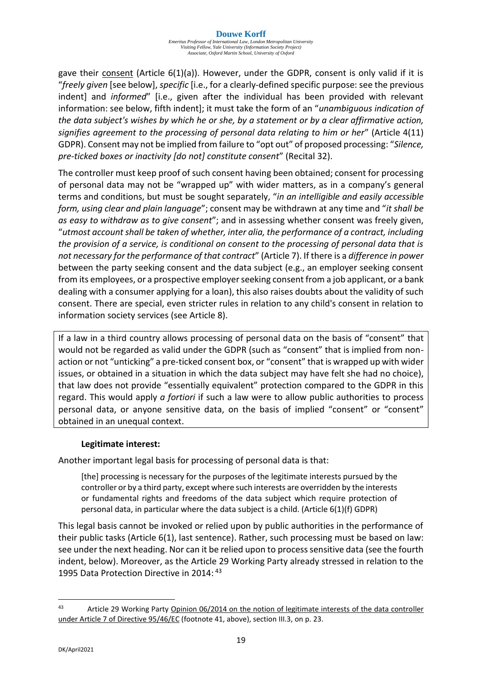gave their consent (Article  $6(1)(a)$ ). However, under the GDPR, consent is only valid if it is "*freely given* [see below], *specific* [i.e., for a clearly-defined specific purpose: see the previous indent] and *informed*" [i.e., given after the individual has been provided with relevant information: see below, fifth indent]; it must take the form of an "*unambiguous indication of the data subject's wishes by which he or she, by a statement or by a clear affirmative action, signifies agreement to the processing of personal data relating to him or her*" (Article 4(11) GDPR). Consent may not be implied from failure to "opt out" of proposed processing: "*Silence, pre-ticked boxes or inactivity [do not] constitute consent*" (Recital 32).

The controller must keep proof of such consent having been obtained; consent for processing of personal data may not be "wrapped up" with wider matters, as in a company's general terms and conditions, but must be sought separately, "*in an intelligible and easily accessible form, using clear and plain language*"; consent may be withdrawn at any time and "*it shall be as easy to withdraw as to give consent*"; and in assessing whether consent was freely given, "*utmost account shall be taken of whether, inter alia, the performance of a contract, including the provision of a service, is conditional on consent to the processing of personal data that is not necessary for the performance of that contract*" (Article 7). If there is a *difference in power* between the party seeking consent and the data subject (e.g., an employer seeking consent from its employees, or a prospective employer seeking consent from a job applicant, or a bank dealing with a consumer applying for a loan), this also raises doubts about the validity of such consent. There are special, even stricter rules in relation to any child's consent in relation to information society services (see Article 8).

If a law in a third country allows processing of personal data on the basis of "consent" that would not be regarded as valid under the GDPR (such as "consent" that is implied from nonaction or not "unticking" a pre-ticked consent box, or "consent" that is wrapped up with wider issues, or obtained in a situation in which the data subject may have felt she had no choice), that law does not provide "essentially equivalent" protection compared to the GDPR in this regard. This would apply *a fortiori* if such a law were to allow public authorities to process personal data, or anyone sensitive data, on the basis of implied "consent" or "consent" obtained in an unequal context.

#### **Legitimate interest:**

Another important legal basis for processing of personal data is that:

[the] processing is necessary for the purposes of the legitimate interests pursued by the controller or by a third party, except where such interests are overridden by the interests or fundamental rights and freedoms of the data subject which require protection of personal data, in particular where the data subject is a child. (Article 6(1)(f) GDPR)

This legal basis cannot be invoked or relied upon by public authorities in the performance of their public tasks (Article 6(1), last sentence). Rather, such processing must be based on law: see under the next heading. Nor can it be relied upon to process sensitive data (see the fourth indent, below). Moreover, as the Article 29 Working Party already stressed in relation to the 1995 Data Protection Directive in 2014: <sup>43</sup>

<sup>43</sup> Article 29 Working Party Opinion 06/2014 on the notion of legitimate interests of the data controller under Article 7 of Directive 95/46/EC (footnote 41, above), section III.3, on p. 23.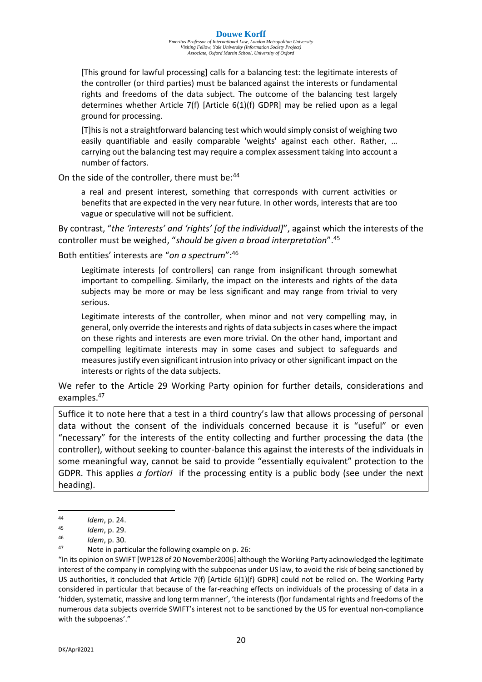[This ground for lawful processing] calls for a balancing test: the legitimate interests of the controller (or third parties) must be balanced against the interests or fundamental rights and freedoms of the data subject. The outcome of the balancing test largely determines whether Article 7(f) [Article 6(1)(f) GDPR] may be relied upon as a legal ground for processing.

[T]his is not a straightforward balancing test which would simply consist of weighing two easily quantifiable and easily comparable 'weights' against each other. Rather, … carrying out the balancing test may require a complex assessment taking into account a number of factors.

On the side of the controller, there must be: 44

a real and present interest, something that corresponds with current activities or benefits that are expected in the very near future. In other words, interests that are too vague or speculative will not be sufficient.

By contrast, "*the 'interests' and 'rights' [of the individual]*", against which the interests of the controller must be weighed, "*should be given a broad interpretation*".<sup>45</sup>

Both entities' interests are "*on a spectrum*":<sup>46</sup>

Legitimate interests [of controllers] can range from insignificant through somewhat important to compelling. Similarly, the impact on the interests and rights of the data subjects may be more or may be less significant and may range from trivial to very serious.

Legitimate interests of the controller, when minor and not very compelling may, in general, only override the interests and rights of data subjects in cases where the impact on these rights and interests are even more trivial. On the other hand, important and compelling legitimate interests may in some cases and subject to safeguards and measures justify even significant intrusion into privacy or other significant impact on the interests or rights of the data subjects.

We refer to the Article 29 Working Party opinion for further details, considerations and examples.<sup>47</sup>

Suffice it to note here that a test in a third country's law that allows processing of personal data without the consent of the individuals concerned because it is "useful" or even "necessary" for the interests of the entity collecting and further processing the data (the controller), without seeking to counter-balance this against the interests of the individuals in some meaningful way, cannot be said to provide "essentially equivalent" protection to the GDPR. This applies *a fortiori* if the processing entity is a public body (see under the next heading).

<sup>44</sup> *Idem*, p. 24.

<sup>45</sup> *Idem*, p. 29.

<sup>46</sup> *Idem*, p. 30.

Note in particular the following example on p. 26:

<sup>&</sup>quot;In its opinion on SWIFT [WP128 of 20 November2006] although the Working Party acknowledged the legitimate interest of the company in complying with the subpoenas under US law, to avoid the risk of being sanctioned by US authorities, it concluded that Article 7(f) [Article 6(1)(f) GDPR] could not be relied on. The Working Party considered in particular that because of the far-reaching effects on individuals of the processing of data in a 'hidden, systematic, massive and long term manner', 'the interests (f)or fundamental rights and freedoms of the numerous data subjects override SWIFT's interest not to be sanctioned by the US for eventual non-compliance with the subpoenas'."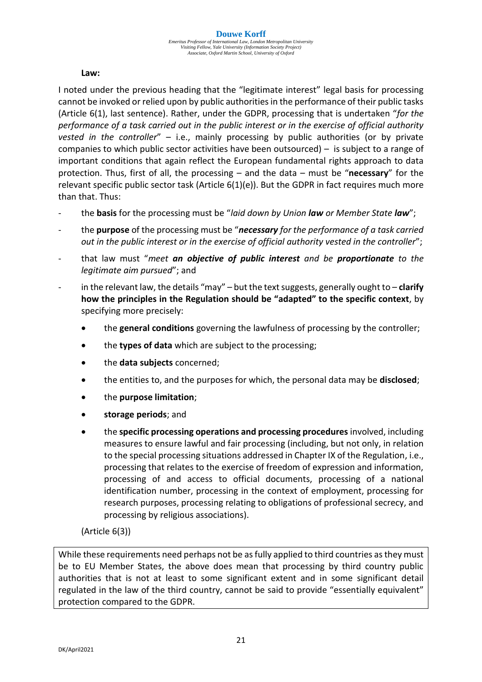#### **Law:**

I noted under the previous heading that the "legitimate interest" legal basis for processing cannot be invoked or relied upon by public authorities in the performance of their public tasks (Article 6(1), last sentence). Rather, under the GDPR, processing that is undertaken "*for the performance of a task carried out in the public interest or in the exercise of official authority vested in the controller*" – i.e., mainly processing by public authorities (or by private companies to which public sector activities have been outsourced) – is subject to a range of important conditions that again reflect the European fundamental rights approach to data protection. Thus, first of all, the processing – and the data – must be "**necessary**" for the relevant specific public sector task (Article 6(1)(e)). But the GDPR in fact requires much more than that. Thus:

- the **basis** for the processing must be "*laid down by Union law or Member State law*";
- the **purpose** of the processing must be "*necessary for the performance of a task carried out in the public interest or in the exercise of official authority vested in the controller*";
- that law must "*meet an objective of public interest and be proportionate to the legitimate aim pursued*"; and
- in the relevant law, the details "may" but the text suggests, generally ought to **clarify how the principles in the Regulation should be "adapted" to the specific context**, by specifying more precisely:
	- the **general conditions** governing the lawfulness of processing by the controller;
	- the **types of data** which are subject to the processing;
	- the **data subjects** concerned;
	- the entities to, and the purposes for which, the personal data may be **disclosed**;
	- the **purpose limitation**;
	- **storage periods**; and
	- the **specific processing operations and processing procedures** involved, including measures to ensure lawful and fair processing (including, but not only, in relation to the special processing situations addressed in Chapter IX of the Regulation, i.e., processing that relates to the exercise of freedom of expression and information, processing of and access to official documents, processing of a national identification number, processing in the context of employment, processing for research purposes, processing relating to obligations of professional secrecy, and processing by religious associations).

#### (Article 6(3))

While these requirements need perhaps not be as fully applied to third countries as they must be to EU Member States, the above does mean that processing by third country public authorities that is not at least to some significant extent and in some significant detail regulated in the law of the third country, cannot be said to provide "essentially equivalent" protection compared to the GDPR.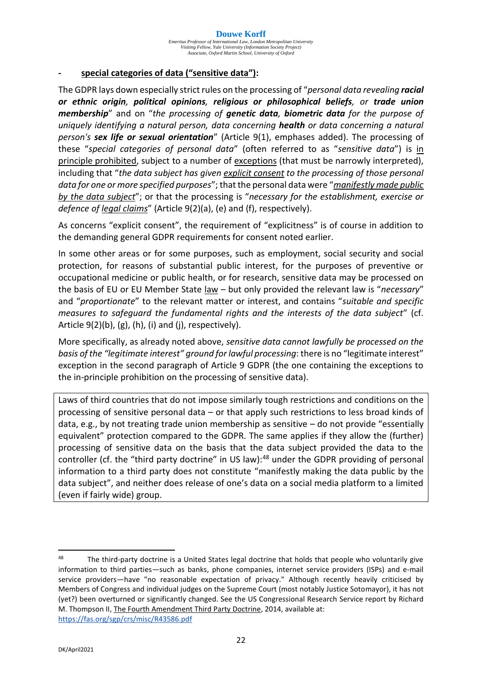#### **- special categories of data ("sensitive data"):**

The GDPR lays down especially strict rules on the processing of "*personal data revealing racial or ethnic origin, political opinions, religious or philosophical beliefs, or trade union membership*" and on "*the processing of genetic data, biometric data for the purpose of uniquely identifying a natural person, data concerning health or data concerning a natural person's sex life or sexual orientation*" (Article 9(1), emphases added). The processing of these "*special categories of personal data*" (often referred to as "*sensitive data*") is in principle prohibited, subject to a number of exceptions (that must be narrowly interpreted), including that "*the data subject has given explicit consent to the processing of those personal data for one or more specified purposes*"; that the personal data were "*manifestly made public by the data subject*"; or that the processing is "*necessary for the establishment, exercise or defence of legal claims*" (Article 9(2)(a), (e) and (f), respectively).

As concerns "explicit consent", the requirement of "explicitness" is of course in addition to the demanding general GDPR requirements for consent noted earlier.

In some other areas or for some purposes, such as employment, social security and social protection, for reasons of substantial public interest, for the purposes of preventive or occupational medicine or public health, or for research, sensitive data may be processed on the basis of EU or EU Member State law – but only provided the relevant law is "*necessary*" and "*proportionate*" to the relevant matter or interest, and contains "*suitable and specific measures to safeguard the fundamental rights and the interests of the data subject*" (cf. Article  $9(2)(b)$ ,  $(g)$ ,  $(h)$ ,  $(i)$  and  $(i)$ , respectively).

More specifically, as already noted above, *sensitive data cannot lawfully be processed on the basis of the "legitimate interest" ground for lawful processing*: there is no "legitimate interest" exception in the second paragraph of Article 9 GDPR (the one containing the exceptions to the in-principle prohibition on the processing of sensitive data).

Laws of third countries that do not impose similarly tough restrictions and conditions on the processing of sensitive personal data – or that apply such restrictions to less broad kinds of data, e.g., by not treating trade union membership as sensitive – do not provide "essentially equivalent" protection compared to the GDPR. The same applies if they allow the (further) processing of sensitive data on the basis that the data subject provided the data to the controller (cf. the "third party doctrine" in US law):<sup>48</sup> under the GDPR providing of personal information to a third party does not constitute "manifestly making the data public by the data subject", and neither does release of one's data on a social media platform to a limited (even if fairly wide) group.

<sup>&</sup>lt;sup>48</sup> The third-party doctrine is a United States legal doctrine that holds that people who voluntarily give information to third parties—such as banks, phone companies, internet service providers (ISPs) and e-mail service providers—have "no reasonable expectation of privacy." Although recently heavily criticised by Members of Congress and individual judges on the Supreme Court (most notably Justice Sotomayor), it has not (yet?) been overturned or significantly changed. See the US Congressional Research Service report by Richard M. Thompson II, The Fourth Amendment Third Party Doctrine, 2014, available at: <https://fas.org/sgp/crs/misc/R43586.pdf>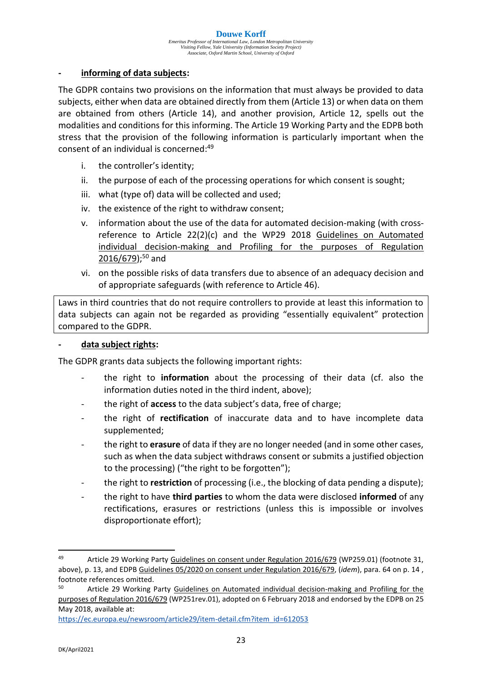#### **- informing of data subjects:**

The GDPR contains two provisions on the information that must always be provided to data subjects, either when data are obtained directly from them (Article 13) or when data on them are obtained from others (Article 14), and another provision, Article 12, spells out the modalities and conditions for this informing. The Article 19 Working Party and the EDPB both stress that the provision of the following information is particularly important when the consent of an individual is concerned:<sup>49</sup>

- i. the controller's identity;
- ii. the purpose of each of the processing operations for which consent is sought;
- iii. what (type of) data will be collected and used;
- iv. the existence of the right to withdraw consent;
- v. information about the use of the data for automated decision-making (with crossreference to Article 22(2)(c) and the WP29 2018 Guidelines on Automated individual decision-making and Profiling for the purposes of Regulation 2016/679);<sup>50</sup> and
- vi. on the possible risks of data transfers due to absence of an adequacy decision and of appropriate safeguards (with reference to Article 46).

Laws in third countries that do not require controllers to provide at least this information to data subjects can again not be regarded as providing "essentially equivalent" protection compared to the GDPR.

#### **- data subject rights:**

The GDPR grants data subjects the following important rights:

- the right to **information** about the processing of their data (cf. also the information duties noted in the third indent, above);
- the right of **access** to the data subject's data, free of charge;
- the right of **rectification** of inaccurate data and to have incomplete data supplemented;
- the right to **erasure** of data if they are no longer needed (and in some other cases, such as when the data subject withdraws consent or submits a justified objection to the processing) ("the right to be forgotten");
- the right to **restriction** of processing (i.e., the blocking of data pending a dispute);
- the right to have **third parties** to whom the data were disclosed **informed** of any rectifications, erasures or restrictions (unless this is impossible or involves disproportionate effort);

<sup>&</sup>lt;sup>49</sup> Article 29 Working Party Guidelines on consent under Regulation 2016/679 (WP259.01) (footnote 31, above), p. 13, and EDPB Guidelines 05/2020 on consent under Regulation 2016/679, (*idem*), para. 64 on p. 14 , footnote references omitted.

<sup>50</sup> Article 29 Working Party Guidelines on Automated individual decision-making and Profiling for the purposes of Regulation 2016/679 (WP251rev.01), adopted on 6 February 2018 and endorsed by the EDPB on 25 May 2018, available at:

[https://ec.europa.eu/newsroom/article29/item-detail.cfm?item\\_id=612053](https://ec.europa.eu/newsroom/article29/item-detail.cfm?item_id=612053)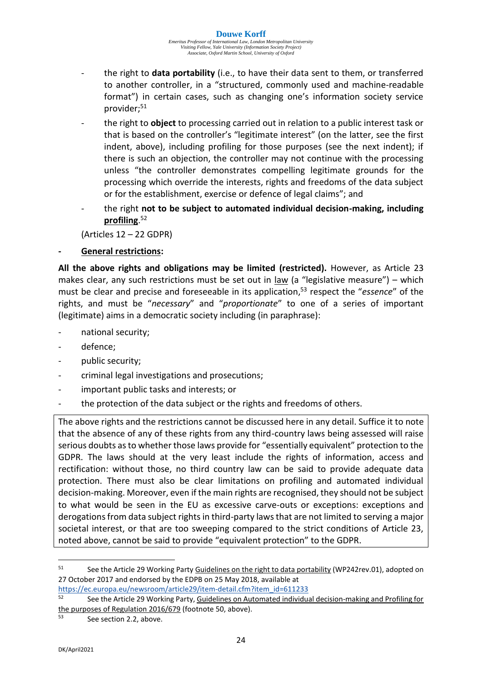- the right to **data portability** (i.e., to have their data sent to them, or transferred to another controller, in a "structured, commonly used and machine-readable format") in certain cases, such as changing one's information society service provider;<sup>51</sup>
- the right to **object** to processing carried out in relation to a public interest task or that is based on the controller's "legitimate interest" (on the latter, see the first indent, above), including profiling for those purposes (see the next indent); if there is such an objection, the controller may not continue with the processing unless "the controller demonstrates compelling legitimate grounds for the processing which override the interests, rights and freedoms of the data subject or for the establishment, exercise or defence of legal claims"; and
- the right **not to be subject to automated individual decision-making, including profiling**. 52

(Articles 12 – 22 GDPR)

#### **- General restrictions:**

**All the above rights and obligations may be limited (restricted).** However, as Article 23 makes clear, any such restrictions must be set out in law (a "legislative measure") – which must be clear and precise and foreseeable in its application, <sup>53</sup> respect the "*essence*" of the rights, and must be "*necessary*" and "*proportionate*" to one of a series of important (legitimate) aims in a democratic society including (in paraphrase):

- national security;
- defence;
- public security;
- criminal legal investigations and prosecutions;
- important public tasks and interests; or
- the protection of the data subject or the rights and freedoms of others.

The above rights and the restrictions cannot be discussed here in any detail. Suffice it to note that the absence of any of these rights from any third-country laws being assessed will raise serious doubts as to whether those laws provide for "essentially equivalent" protection to the GDPR. The laws should at the very least include the rights of information, access and rectification: without those, no third country law can be said to provide adequate data protection. There must also be clear limitations on profiling and automated individual decision-making. Moreover, even if the main rights are recognised, they should not be subject to what would be seen in the EU as excessive carve-outs or exceptions: exceptions and derogations from data subject rights in third-party laws that are not limited to serving a major societal interest, or that are too sweeping compared to the strict conditions of Article 23, noted above, cannot be said to provide "equivalent protection" to the GDPR.

<sup>&</sup>lt;sup>51</sup> See the Article 29 Working Party Guidelines on the right to data portability (WP242rev.01), adopted on 27 October 2017 and endorsed by the EDPB on 25 May 2018, available at

[https://ec.europa.eu/newsroom/article29/item-detail.cfm?item\\_id=611233](https://ec.europa.eu/newsroom/article29/item-detail.cfm?item_id=611233)<br>52 See the Article 20 Werking Party, Guidelines on Automated individual <sup>52</sup> See the Article 29 Working Party, Guidelines on Automated individual decision-making and Profiling for the purposes of Regulation 2016/679 (footnote 50, above).

<sup>53</sup> See section 2.2, above.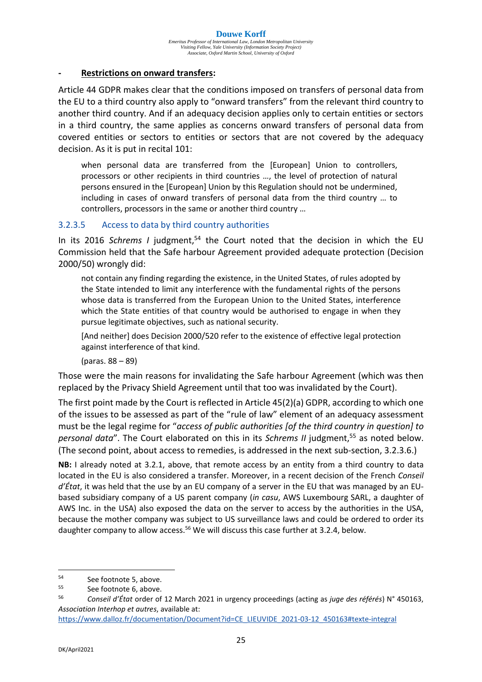#### **- Restrictions on onward transfers:**

Article 44 GDPR makes clear that the conditions imposed on transfers of personal data from the EU to a third country also apply to "onward transfers" from the relevant third country to another third country. And if an adequacy decision applies only to certain entities or sectors in a third country, the same applies as concerns onward transfers of personal data from covered entities or sectors to entities or sectors that are not covered by the adequacy decision. As it is put in recital 101:

when personal data are transferred from the [European] Union to controllers, processors or other recipients in third countries …, the level of protection of natural persons ensured in the [European] Union by this Regulation should not be undermined, including in cases of onward transfers of personal data from the third country … to controllers, processors in the same or another third country …

#### 3.2.3.5 Access to data by third country authorities

In its 2016 *Schrems I* judgment,<sup>54</sup> the Court noted that the decision in which the EU Commission held that the Safe harbour Agreement provided adequate protection (Decision 2000/50) wrongly did:

not contain any finding regarding the existence, in the United States, of rules adopted by the State intended to limit any interference with the fundamental rights of the persons whose data is transferred from the European Union to the United States, interference which the State entities of that country would be authorised to engage in when they pursue legitimate objectives, such as national security.

[And neither] does Decision 2000/520 refer to the existence of effective legal protection against interference of that kind.

(paras. 88 – 89)

Those were the main reasons for invalidating the Safe harbour Agreement (which was then replaced by the Privacy Shield Agreement until that too was invalidated by the Court).

The first point made by the Court is reflected in Article 45(2)(a) GDPR, according to which one of the issues to be assessed as part of the "rule of law" element of an adequacy assessment must be the legal regime for "*access of public authorities [of the third country in question] to personal data*". The Court elaborated on this in its *Schrems II* judgment,<sup>55</sup> as noted below. (The second point, about access to remedies, is addressed in the next sub-section, 3.2.3.6.)

**NB:** I already noted at 3.2.1, above, that remote access by an entity from a third country to data located in the EU is also considered a transfer. Moreover, in a recent decision of the French *Conseil d'État*, it was held that the use by an EU company of a server in the EU that was managed by an EUbased subsidiary company of a US parent company (*in casu*, AWS Luxembourg SARL, a daughter of AWS Inc. in the USA) also exposed the data on the server to access by the authorities in the USA, because the mother company was subject to US surveillance laws and could be ordered to order its daughter company to allow access.<sup>56</sup> We will discuss this case further at 3.2.4, below.

<sup>54</sup> See footnote 5, above.

 $55$  See footnote 6, above.

<sup>56</sup> *Conseil d'État* order of 12 March 2021 in urgency proceedings (acting as *juge des référés*) N° 450163, *Association Interhop et autres*, available at:

[https://www.dalloz.fr/documentation/Document?id=CE\\_LIEUVIDE\\_2021-03-12\\_450163#texte-integral](https://www.dalloz.fr/documentation/Document?id=CE_LIEUVIDE_2021-03-12_450163#texte-integral)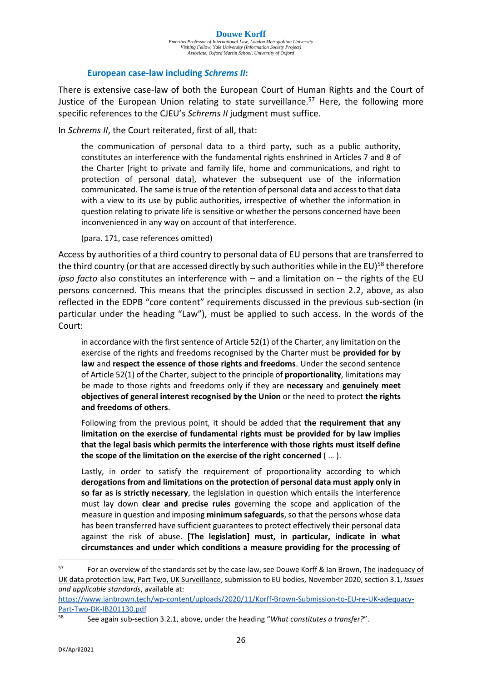#### **Douwe Korff**

*Emeritus Professor of International Law, London Metropolitan University Visiting Fellow, Yale University (Information Society Project) Associate, Oxford Martin School, University of Oxford*

#### **European case-law including** *Schrems II***:**

There is extensive case-law of both the European Court of Human Rights and the Court of Justice of the European Union relating to state surveillance.<sup>57</sup> Here, the following more specific references to the CJEU's *Schrems II* judgment must suffice.

In *Schrems II*, the Court reiterated, first of all, that:

the communication of personal data to a third party, such as a public authority, constitutes an interference with the fundamental rights enshrined in Articles 7 and 8 of the Charter [right to private and family life, home and communications, and right to protection of personal data], whatever the subsequent use of the information communicated. The same is true of the retention of personal data and access to that data with a view to its use by public authorities, irrespective of whether the information in question relating to private life is sensitive or whether the persons concerned have been inconvenienced in any way on account of that interference.

(para. 171, case references omitted)

Access by authorities of a third country to personal data of EU persons that are transferred to the third country (or that are accessed directly by such authorities while in the EU)<sup>58</sup> therefore *ipso facto* also constitutes an interference with – and a limitation on – the rights of the EU persons concerned. This means that the principles discussed in section 2.2, above, as also reflected in the EDPB "core content" requirements discussed in the previous sub-section (in particular under the heading "Law"), must be applied to such access. In the words of the Court:

in accordance with the first sentence of Article 52(1) of the Charter, any limitation on the exercise of the rights and freedoms recognised by the Charter must be **provided for by law** and **respect the essence of those rights and freedoms**. Under the second sentence of Article 52(1) of the Charter, subject to the principle of **proportionality**, limitations may be made to those rights and freedoms only if they are **necessary** and **genuinely meet objectives of general interest recognised by the Union** or the need to protect **the rights and freedoms of others**.

Following from the previous point, it should be added that **the requirement that any limitation on the exercise of fundamental rights must be provided for by law implies that the legal basis which permits the interference with those rights must itself define the scope of the limitation on the exercise of the right concerned** ( … ).

Lastly, in order to satisfy the requirement of proportionality according to which **derogations from and limitations on the protection of personal data must apply only in so far as is strictly necessary**, the legislation in question which entails the interference must lay down **clear and precise rules** governing the scope and application of the measure in question and imposing **minimum safeguards**, so that the persons whose data has been transferred have sufficient guarantees to protect effectively their personal data against the risk of abuse. **[The legislation] must, in particular, indicate in what circumstances and under which conditions a measure providing for the processing of** 

<sup>&</sup>lt;sup>57</sup> For an overview of the standards set by the case-law, see Douwe Korff & Ian Brown, The inadequacy of UK data protection law, Part Two, UK Surveillance, submission to EU bodies, November 2020, section 3.1, *Issues and applicable standards*, available at:

[https://www.ianbrown.tech/wp-content/uploads/2020/11/Korff-Brown-Submission-to-EU-re-UK-adequacy-](https://www.ianbrown.tech/wp-content/uploads/2020/11/Korff-Brown-Submission-to-EU-re-UK-adequacy-Part-Two-DK-IB201130.pdf/)[Part-Two-DK-IB201130.pdf](https://www.ianbrown.tech/wp-content/uploads/2020/11/Korff-Brown-Submission-to-EU-re-UK-adequacy-Part-Two-DK-IB201130.pdf/)

<sup>58</sup> See again sub-section 3.2.1, above, under the heading "*What constitutes a transfer?*".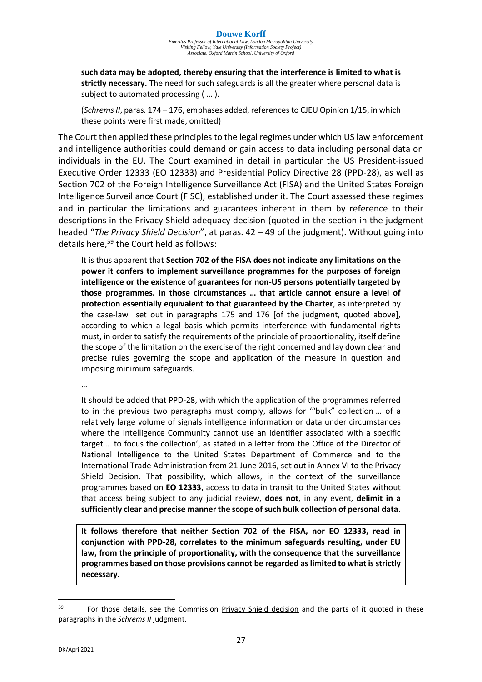**such data may be adopted, thereby ensuring that the interference is limited to what is strictly necessary.** The need for such safeguards is all the greater where personal data is subject to automated processing ( … ).

(*Schrems II*, paras. 174 – 176, emphases added, references to CJEU Opinion 1/15, in which these points were first made, omitted)

The Court then applied these principles to the legal regimes under which US law enforcement and intelligence authorities could demand or gain access to data including personal data on individuals in the EU. The Court examined in detail in particular the US President-issued Executive Order 12333 (EO 12333) and Presidential Policy Directive 28 (PPD-28), as well as Section 702 of the Foreign Intelligence Surveillance Act (FISA) and the United States Foreign Intelligence Surveillance Court (FISC), established under it. The Court assessed these regimes and in particular the limitations and guarantees inherent in them by reference to their descriptions in the Privacy Shield adequacy decision (quoted in the section in the judgment headed "*The Privacy Shield Decision*", at paras. 42 – 49 of the judgment). Without going into details here,<sup>59</sup> the Court held as follows:

It is thus apparent that **Section 702 of the FISA does not indicate any limitations on the power it confers to implement surveillance programmes for the purposes of foreign intelligence or the existence of guarantees for non-US persons potentially targeted by those programmes. In those circumstances … that article cannot ensure a level of protection essentially equivalent to that guaranteed by the Charter**, as interpreted by the case-law set out in paragraphs 175 and 176 [of the judgment, quoted above], according to which a legal basis which permits interference with fundamental rights must, in order to satisfy the requirements of the principle of proportionality, itself define the scope of the limitation on the exercise of the right concerned and lay down clear and precise rules governing the scope and application of the measure in question and imposing minimum safeguards.

…

It should be added that PPD-28, with which the application of the programmes referred to in the previous two paragraphs must comply, allows for '"bulk" collection … of a relatively large volume of signals intelligence information or data under circumstances where the Intelligence Community cannot use an identifier associated with a specific target … to focus the collection', as stated in a letter from the Office of the Director of National Intelligence to the United States Department of Commerce and to the International Trade Administration from 21 June 2016, set out in Annex VI to the Privacy Shield Decision. That possibility, which allows, in the context of the surveillance programmes based on **EO 12333**, access to data in transit to the United States without that access being subject to any judicial review, **does not**, in any event, **delimit in a sufficiently clear and precise manner the scope of such bulk collection of personal data**.

**It follows therefore that neither Section 702 of the FISA, nor EO 12333, read in conjunction with PPD-28, correlates to the minimum safeguards resulting, under EU law, from the principle of proportionality, with the consequence that the surveillance programmes based on those provisions cannot be regarded as limited to what is strictly necessary.**

<sup>&</sup>lt;sup>59</sup> For those details, see the Commission Privacy Shield decision and the parts of it quoted in these paragraphs in the *Schrems II* judgment.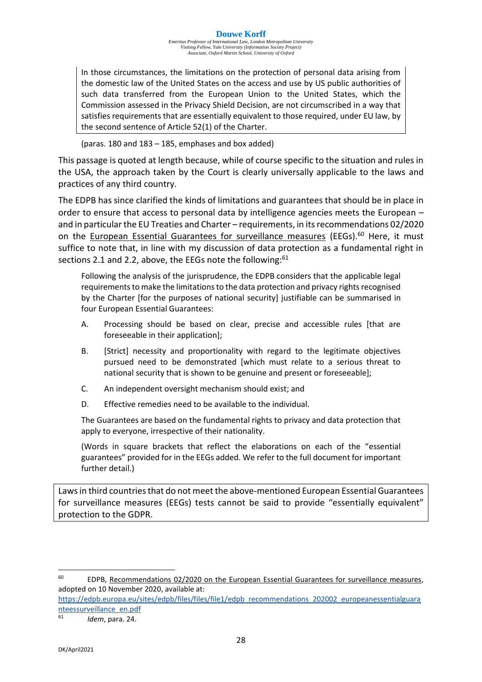#### **Douwe Korff**

*Emeritus Professor of International Law, London Metropolitan University Visiting Fellow, Yale University (Information Society Project) Associate, Oxford Martin School, University of Oxford*

In those circumstances, the limitations on the protection of personal data arising from the domestic law of the United States on the access and use by US public authorities of such data transferred from the European Union to the United States, which the Commission assessed in the Privacy Shield Decision, are not circumscribed in a way that satisfies requirements that are essentially equivalent to those required, under EU law, by the second sentence of Article 52(1) of the Charter.

(paras. 180 and 183 – 185, emphases and box added)

This passage is quoted at length because, while of course specific to the situation and rules in the USA, the approach taken by the Court is clearly universally applicable to the laws and practices of any third country.

The EDPB has since clarified the kinds of limitations and guarantees that should be in place in order to ensure that access to personal data by intelligence agencies meets the European – and in particular the EU Treaties and Charter – requirements, in itsrecommendations 02/2020 on the European Essential Guarantees for surveillance measures (EEGs).<sup>60</sup> Here, it must suffice to note that, in line with my discussion of data protection as a fundamental right in sections 2.1 and 2.2, above, the EEGs note the following:<sup>61</sup>

Following the analysis of the jurisprudence, the EDPB considers that the applicable legal requirements to make the limitations to the data protection and privacy rights recognised by the Charter [for the purposes of national security] justifiable can be summarised in four European Essential Guarantees:

- A. Processing should be based on clear, precise and accessible rules [that are foreseeable in their application];
- B. [Strict] necessity and proportionality with regard to the legitimate objectives pursued need to be demonstrated [which must relate to a serious threat to national security that is shown to be genuine and present or foreseeable];
- C. An independent oversight mechanism should exist; and
- D. Effective remedies need to be available to the individual.

The Guarantees are based on the fundamental rights to privacy and data protection that apply to everyone, irrespective of their nationality.

(Words in square brackets that reflect the elaborations on each of the "essential guarantees" provided for in the EEGs added. We refer to the full document for important further detail.)

Laws in third countries that do not meet the above-mentioned European Essential Guarantees for surveillance measures (EEGs) tests cannot be said to provide "essentially equivalent" protection to the GDPR.

[https://edpb.europa.eu/sites/edpb/files/files/file1/edpb\\_recommendations\\_202002\\_europeanessentialguara](https://edpb.europa.eu/sites/edpb/files/files/file1/edpb_recommendations_202002_europeanessentialguaranteessurveillance_en.pdf) [nteessurveillance\\_en.pdf](https://edpb.europa.eu/sites/edpb/files/files/file1/edpb_recommendations_202002_europeanessentialguaranteessurveillance_en.pdf)

<sup>61</sup> *Idem*, para. 24.

<sup>60</sup> EDPB, Recommendations 02/2020 on the European Essential Guarantees for surveillance measures, adopted on 10 November 2020, available at: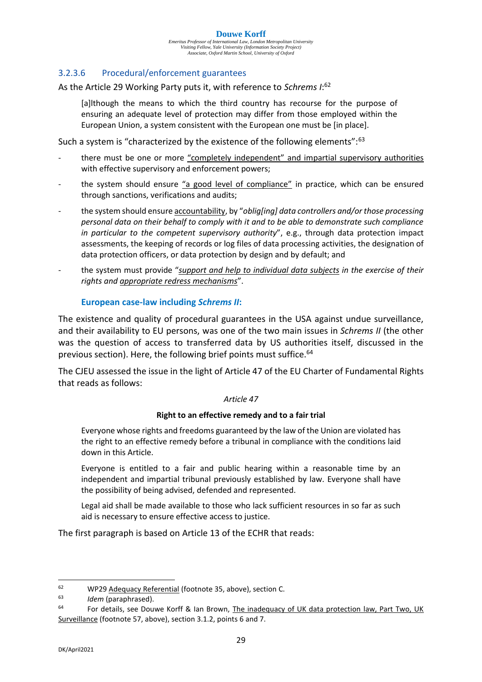*Emeritus Professor of International Law, London Metropolitan University Visiting Fellow, Yale University (Information Society Project) Associate, Oxford Martin School, University of Oxford*

#### 3.2.3.6 Procedural/enforcement guarantees

As the Article 29 Working Party puts it, with reference to *Schrems I*: 62

[a]lthough the means to which the third country has recourse for the purpose of ensuring an adequate level of protection may differ from those employed within the European Union, a system consistent with the European one must be [in place].

Such a system is "characterized by the existence of the following elements":<sup>63</sup>

- there must be one or more "completely independent" and impartial supervisory authorities with effective supervisory and enforcement powers;
- the system should ensure "a good level of compliance" in practice, which can be ensured through sanctions, verifications and audits;
- the system should ensure accountability, by "*oblig[ing] data controllers and/or those processing personal data on their behalf to comply with it and to be able to demonstrate such compliance in particular to the competent supervisory authority*", e.g., through data protection impact assessments, the keeping of records or log files of data processing activities, the designation of data protection officers, or data protection by design and by default; and
- the system must provide "*support and help to individual data subjects in the exercise of their rights and appropriate redress mechanisms*".

#### **European case-law including** *Schrems II***:**

The existence and quality of procedural guarantees in the USA against undue surveillance, and their availability to EU persons, was one of the two main issues in *Schrems II* (the other was the question of access to transferred data by US authorities itself, discussed in the previous section). Here, the following brief points must suffice.<sup>64</sup>

The CJEU assessed the issue in the light of Article 47 of the EU Charter of Fundamental Rights that reads as follows:

#### *Article 47*

#### **Right to an effective remedy and to a fair trial**

Everyone whose rights and freedoms guaranteed by the law of the Union are violated has the right to an effective remedy before a tribunal in compliance with the conditions laid down in this Article.

Everyone is entitled to a fair and public hearing within a reasonable time by an independent and impartial tribunal previously established by law. Everyone shall have the possibility of being advised, defended and represented.

Legal aid shall be made available to those who lack sufficient resources in so far as such aid is necessary to ensure effective access to justice.

The first paragraph is based on Article 13 of the ECHR that reads:

<sup>&</sup>lt;sup>62</sup> WP29 Adequacy Referential (footnote 35, above), section C.

<sup>63</sup> *Idem* (paraphrased).

For details, see Douwe Korff & Ian Brown, The inadequacy of UK data protection law, Part Two, UK Surveillance (footnote 57, above), section 3.1.2, points 6 and 7.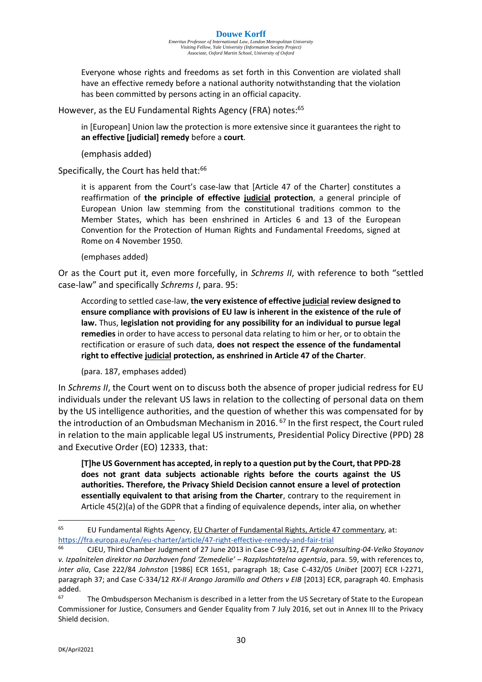#### **Douwe Korff**

*Emeritus Professor of International Law, London Metropolitan University Visiting Fellow, Yale University (Information Society Project) Associate, Oxford Martin School, University of Oxford*

Everyone whose rights and freedoms as set forth in this Convention are violated shall have an effective remedy before a national authority notwithstanding that the violation has been committed by persons acting in an official capacity.

However, as the EU Fundamental Rights Agency (FRA) notes:<sup>65</sup>

in [European] Union law the protection is more extensive since it guarantees the right to **an effective [judicial] remedy** before a **court**.

(emphasis added)

Specifically, the Court has held that:<sup>66</sup>

it is apparent from the Court's case-law that [Article 47 of the Charter] constitutes a reaffirmation of **the principle of effective judicial protection**, a general principle of European Union law stemming from the constitutional traditions common to the Member States, which has been enshrined in Articles 6 and 13 of the European Convention for the Protection of Human Rights and Fundamental Freedoms, signed at Rome on 4 November 1950.

(emphases added)

Or as the Court put it, even more forcefully, in *Schrems II*, with reference to both "settled case-law" and specifically *Schrems I*, para. 95:

According to settled case-law, **the very existence of effective judicial review designed to ensure compliance with provisions of EU law is inherent in the existence of the rule of law.** Thus, **legislation not providing for any possibility for an individual to pursue legal remedies** in order to have access to personal data relating to him or her, or to obtain the rectification or erasure of such data, **does not respect the essence of the fundamental right to effective judicial protection, as enshrined in Article 47 of the Charter**.

(para. 187, emphases added)

In *Schrems II*, the Court went on to discuss both the absence of proper judicial redress for EU individuals under the relevant US laws in relation to the collecting of personal data on them by the US intelligence authorities, and the question of whether this was compensated for by the introduction of an Ombudsman Mechanism in 2016. <sup>67</sup> In the first respect, the Court ruled in relation to the main applicable legal US instruments, Presidential Policy Directive (PPD) 28 and Executive Order (EO) 12333, that:

**[T]he US Government has accepted, in reply to a question put by the Court, that PPD-28 does not grant data subjects actionable rights before the courts against the US authorities. Therefore, the Privacy Shield Decision cannot ensure a level of protection essentially equivalent to that arising from the Charter**, contrary to the requirement in Article 45(2)(a) of the GDPR that a finding of equivalence depends, inter alia, on whether

 $65$  EU Fundamental Rights Agency, EU Charter of Fundamental Rights, Article 47 commentary, at: [https://fra.europa.eu/en/eu-charter/article/47-right-effective-remedy-and-fair-trial](https://fra.europa.eu/en/eu-charter/article/47-right-effective-remedy-and-fair-trial/)

<sup>66</sup> CJEU, Third Chamber Judgment of 27 June 2013 in Case C‑93/12, *ET Agrokonsulting-04-Velko Stoyanov v. Izpalnitelen direktor na Darzhaven fond 'Zemedelie' – Razplashtatelna agentsia*, para. 59, with references to, *inter alia*, Case 222/84 *Johnston* [1986] ECR 1651, paragraph 18; Case C-432/05 *Unibet* [2007] ECR I-2271, paragraph 37; and Case C-334/12 *RX-II Arango Jaramillo and Others v EIB* [2013] ECR, paragraph 40. Emphasis added.<br>67

The Ombudsperson Mechanism is described in a letter from the US Secretary of State to the European Commissioner for Justice, Consumers and Gender Equality from 7 July 2016, set out in Annex III to the Privacy Shield decision.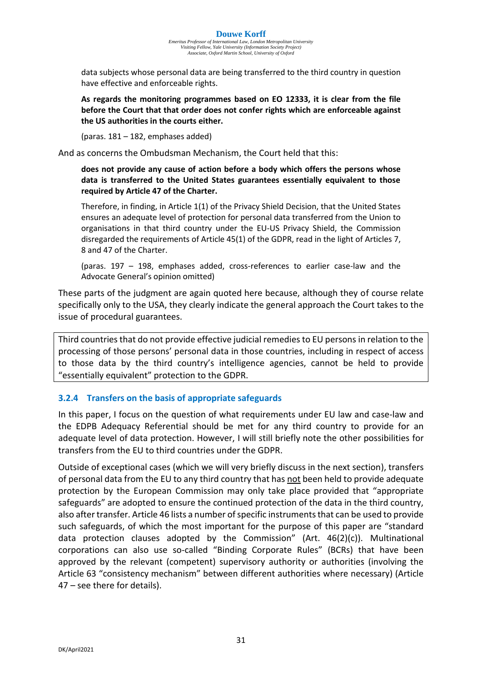data subjects whose personal data are being transferred to the third country in question have effective and enforceable rights.

**As regards the monitoring programmes based on EO 12333, it is clear from the file before the Court that that order does not confer rights which are enforceable against the US authorities in the courts either.**

(paras. 181 – 182, emphases added)

And as concerns the Ombudsman Mechanism, the Court held that this:

#### **does not provide any cause of action before a body which offers the persons whose data is transferred to the United States guarantees essentially equivalent to those required by Article 47 of the Charter.**

Therefore, in finding, in Article 1(1) of the Privacy Shield Decision, that the United States ensures an adequate level of protection for personal data transferred from the Union to organisations in that third country under the EU-US Privacy Shield, the Commission disregarded the requirements of Article 45(1) of the GDPR, read in the light of Articles 7, 8 and 47 of the Charter.

(paras. 197 – 198, emphases added, cross-references to earlier case-law and the Advocate General's opinion omitted)

These parts of the judgment are again quoted here because, although they of course relate specifically only to the USA, they clearly indicate the general approach the Court takes to the issue of procedural guarantees.

Third countries that do not provide effective judicial remedies to EU persons in relation to the processing of those persons' personal data in those countries, including in respect of access to those data by the third country's intelligence agencies, cannot be held to provide "essentially equivalent" protection to the GDPR.

#### **3.2.4 Transfers on the basis of appropriate safeguards**

In this paper, I focus on the question of what requirements under EU law and case-law and the EDPB Adequacy Referential should be met for any third country to provide for an adequate level of data protection. However, I will still briefly note the other possibilities for transfers from the EU to third countries under the GDPR.

Outside of exceptional cases (which we will very briefly discuss in the next section), transfers of personal data from the EU to any third country that has not been held to provide adequate protection by the European Commission may only take place provided that "appropriate safeguards" are adopted to ensure the continued protection of the data in the third country, also after transfer. Article 46 lists a number of specific instruments that can be used to provide such safeguards, of which the most important for the purpose of this paper are "standard data protection clauses adopted by the Commission" (Art. 46(2)(c)). Multinational corporations can also use so-called "Binding Corporate Rules" (BCRs) that have been approved by the relevant (competent) supervisory authority or authorities (involving the Article 63 "consistency mechanism" between different authorities where necessary) (Article 47 – see there for details).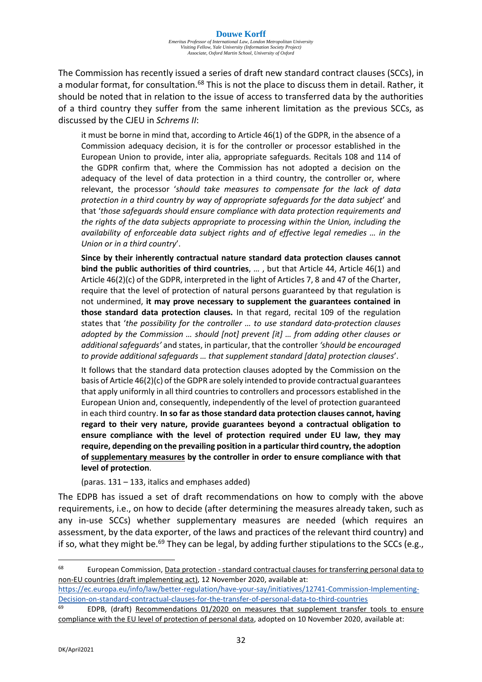The Commission has recently issued a series of draft new standard contract clauses (SCCs), in a modular format, for consultation.<sup>68</sup> This is not the place to discuss them in detail. Rather, it should be noted that in relation to the issue of access to transferred data by the authorities of a third country they suffer from the same inherent limitation as the previous SCCs, as discussed by the CJEU in *Schrems II*:

it must be borne in mind that, according to Article 46(1) of the GDPR, in the absence of a Commission adequacy decision, it is for the controller or processor established in the European Union to provide, inter alia, appropriate safeguards. Recitals 108 and 114 of the GDPR confirm that, where the Commission has not adopted a decision on the adequacy of the level of data protection in a third country, the controller or, where relevant, the processor '*should take measures to compensate for the lack of data protection in a third country by way of appropriate safeguards for the data subject*' and that '*those safeguards should ensure compliance with data protection requirements and the rights of the data subjects appropriate to processing within the Union, including the availability of enforceable data subject rights and of effective legal remedies … in the Union or in a third country*'.

**Since by their inherently contractual nature standard data protection clauses cannot bind the public authorities of third countries**, … , but that Article 44, Article 46(1) and Article 46(2)(c) of the GDPR, interpreted in the light of Articles 7, 8 and 47 of the Charter, require that the level of protection of natural persons guaranteed by that regulation is not undermined, **it may prove necessary to supplement the guarantees contained in those standard data protection clauses.** In that regard, recital 109 of the regulation states that '*the possibility for the controller … to use standard data-protection clauses adopted by the Commission … should [not] prevent [it] … from adding other clauses or additional safeguards'* and states, in particular, that the controller *'should be encouraged to provide additional safeguards … that supplement standard [data] protection clauses*'.

It follows that the standard data protection clauses adopted by the Commission on the basis of Article 46(2)(c) of the GDPR are solely intended to provide contractual guarantees that apply uniformly in all third countries to controllers and processors established in the European Union and, consequently, independently of the level of protection guaranteed in each third country. **In so far as those standard data protection clauses cannot, having regard to their very nature, provide guarantees beyond a contractual obligation to ensure compliance with the level of protection required under EU law, they may require, depending on the prevailing position in a particular third country, the adoption of supplementary measures by the controller in order to ensure compliance with that level of protection**.

(paras. 131 – 133, italics and emphases added)

The EDPB has issued a set of draft recommendations on how to comply with the above requirements, i.e., on how to decide (after determining the measures already taken, such as any in-use SCCs) whether supplementary measures are needed (which requires an assessment, by the data exporter, of the laws and practices of the relevant third country) and if so, what they might be.<sup>69</sup> They can be legal, by adding further stipulations to the SCCs (e.g.,

[https://ec.europa.eu/info/law/better-regulation/have-your-say/initiatives/12741-Commission-Implementing-](https://ec.europa.eu/info/law/better-regulation/have-your-say/initiatives/12741-Commission-Implementing-Decision-on-standard-contractual-clauses-for-the-transfer-of-personal-data-to-third-countries/)[Decision-on-standard-contractual-clauses-for-the-transfer-of-personal-data-to-third-countries](https://ec.europa.eu/info/law/better-regulation/have-your-say/initiatives/12741-Commission-Implementing-Decision-on-standard-contractual-clauses-for-the-transfer-of-personal-data-to-third-countries/)

 $69$  EDPB, (draft) Recommendations 01/2020 on measures that supplement transfer tools to ensure compliance with the EU level of protection of personal data, adopted on 10 November 2020, available at:

<sup>&</sup>lt;sup>68</sup> European Commission, Data protection - standard contractual clauses for transferring personal data to non-EU countries (draft implementing act), 12 November 2020, available at: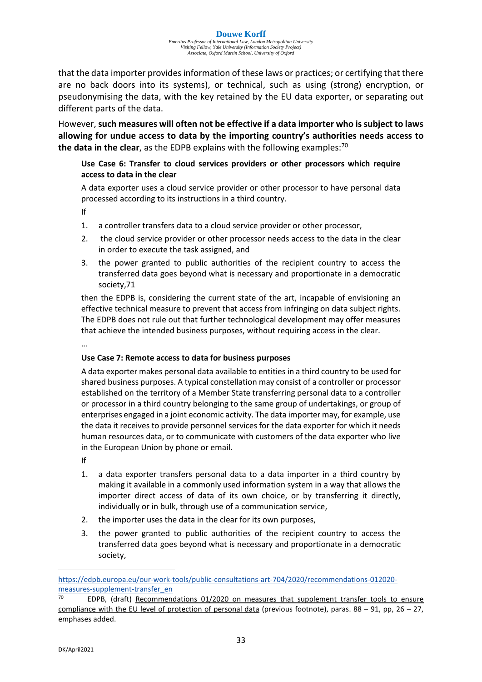that the data importer provides information of these laws or practices; or certifying that there are no back doors into its systems), or technical, such as using (strong) encryption, or pseudonymising the data, with the key retained by the EU data exporter, or separating out different parts of the data.

However, **such measures will often not be effective if a data importer who is subject to laws allowing for undue access to data by the importing country's authorities needs access to the data in the clear**, as the EDPB explains with the following examples:<sup>70</sup>

#### **Use Case 6: Transfer to cloud services providers or other processors which require access to data in the clear**

A data exporter uses a cloud service provider or other processor to have personal data processed according to its instructions in a third country.

If

- 1. a controller transfers data to a cloud service provider or other processor,
- 2. the cloud service provider or other processor needs access to the data in the clear in order to execute the task assigned, and
- 3. the power granted to public authorities of the recipient country to access the transferred data goes beyond what is necessary and proportionate in a democratic society,71

then the EDPB is, considering the current state of the art, incapable of envisioning an effective technical measure to prevent that access from infringing on data subject rights. The EDPB does not rule out that further technological development may offer measures that achieve the intended business purposes, without requiring access in the clear.

…

#### **Use Case 7: Remote access to data for business purposes**

A data exporter makes personal data available to entities in a third country to be used for shared business purposes. A typical constellation may consist of a controller or processor established on the territory of a Member State transferring personal data to a controller or processor in a third country belonging to the same group of undertakings, or group of enterprises engaged in a joint economic activity. The data importer may, for example, use the data it receives to provide personnel services for the data exporter for which it needs human resources data, or to communicate with customers of the data exporter who live in the European Union by phone or email.

If

- 1. a data exporter transfers personal data to a data importer in a third country by making it available in a commonly used information system in a way that allows the importer direct access of data of its own choice, or by transferring it directly, individually or in bulk, through use of a communication service,
- 2. the importer uses the data in the clear for its own purposes,
- 3. the power granted to public authorities of the recipient country to access the transferred data goes beyond what is necessary and proportionate in a democratic society,

[https://edpb.europa.eu/our-work-tools/public-consultations-art-704/2020/recommendations-012020](https://edpb.europa.eu/our-work-tools/public-consultations-art-704/2020/recommendations-012020-measures-supplement-transfer_en) [measures-supplement-transfer\\_en](https://edpb.europa.eu/our-work-tools/public-consultations-art-704/2020/recommendations-012020-measures-supplement-transfer_en)

EDPB, (draft) Recommendations 01/2020 on measures that supplement transfer tools to ensure compliance with the EU level of protection of personal data (previous footnote), paras. 88 – 91, pp, 26 – 27, emphases added.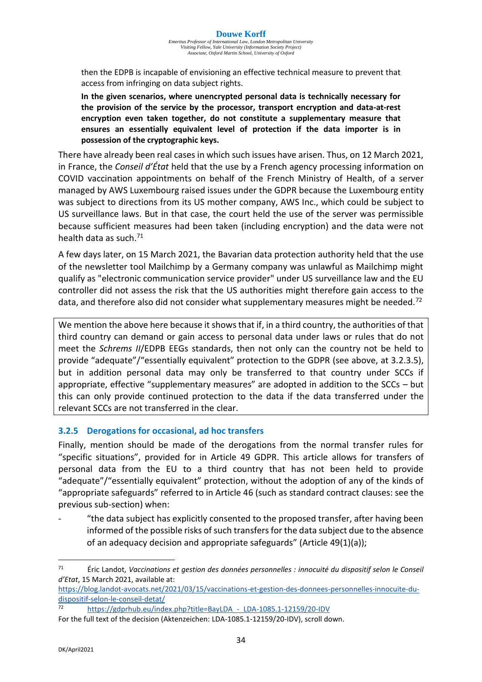then the EDPB is incapable of envisioning an effective technical measure to prevent that access from infringing on data subject rights.

**In the given scenarios, where unencrypted personal data is technically necessary for the provision of the service by the processor, transport encryption and data-at-rest encryption even taken together, do not constitute a supplementary measure that ensures an essentially equivalent level of protection if the data importer is in possession of the cryptographic keys.**

There have already been real cases in which such issues have arisen. Thus, on 12 March 2021, in France, the *Conseil d'État* held that the use by a French agency processing information on COVID vaccination appointments on behalf of the French Ministry of Health, of a server managed by AWS Luxembourg raised issues under the GDPR because the Luxembourg entity was subject to directions from its US mother company, AWS Inc., which could be subject to US surveillance laws. But in that case, the court held the use of the server was permissible because sufficient measures had been taken (including encryption) and the data were not health data as such.<sup>71</sup>

A few days later, on 15 March 2021, the Bavarian data protection authority held that the use of the newsletter tool Mailchimp by a Germany company was unlawful as Mailchimp might qualify as "electronic communication service provider" under US surveillance law and the EU controller did not assess the risk that the US authorities might therefore gain access to the data, and therefore also did not consider what supplementary measures might be needed.<sup>72</sup>

We mention the above here because it shows that if, in a third country, the authorities of that third country can demand or gain access to personal data under laws or rules that do not meet the *Schrems II*/EDPB EEGs standards, then not only can the country not be held to provide "adequate"/"essentially equivalent" protection to the GDPR (see above, at 3.2.3.5), but in addition personal data may only be transferred to that country under SCCs if appropriate, effective "supplementary measures" are adopted in addition to the SCCs – but this can only provide continued protection to the data if the data transferred under the relevant SCCs are not transferred in the clear.

#### **3.2.5 Derogations for occasional, ad hoc transfers**

Finally, mention should be made of the derogations from the normal transfer rules for "specific situations", provided for in Article 49 GDPR. This article allows for transfers of personal data from the EU to a third country that has not been held to provide "adequate"/"essentially equivalent" protection, without the adoption of any of the kinds of "appropriate safeguards" referred to in Article 46 (such as standard contract clauses: see the previous sub-section) when:

"the data subject has explicitly consented to the proposed transfer, after having been informed of the possible risks of such transfers for the data subject due to the absence of an adequacy decision and appropriate safeguards" (Article 49(1)(a));

<sup>71</sup> Éric Landot, *Vaccinations et gestion des données personnelles : innocuité du dispositif selon le Conseil d'Etat*, 15 March 2021, available at:

[https://blog.landot-avocats.net/2021/03/15/vaccinations-et-gestion-des-donnees-personnelles-innocuite-du](https://blog.landot-avocats.net/2021/03/15/vaccinations-et-gestion-des-donnees-personnelles-innocuite-du-dispositif-selon-le-conseil-detat/)[dispositif-selon-le-conseil-detat/](https://blog.landot-avocats.net/2021/03/15/vaccinations-et-gestion-des-donnees-personnelles-innocuite-du-dispositif-selon-le-conseil-detat/) 

<sup>72</sup> https://gdprhub.eu/index.php?title=BayLDA - LDA-1085.1-12159/20-IDV

For the full text of the decision (Aktenzeichen: LDA-1085.1-12159/20-IDV), scroll down.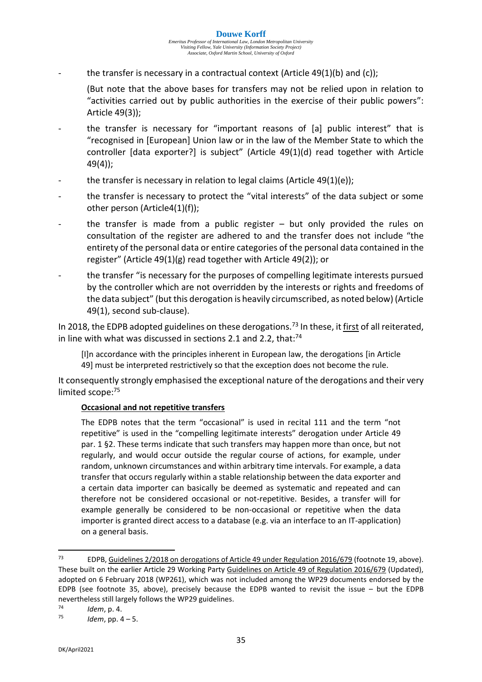the transfer is necessary in a contractual context (Article  $49(1)(b)$  and  $(c)$ );

(But note that the above bases for transfers may not be relied upon in relation to "activities carried out by public authorities in the exercise of their public powers": Article 49(3));

- the transfer is necessary for "important reasons of [a] public interest" that is "recognised in [European] Union law or in the law of the Member State to which the controller [data exporter?] is subject" (Article 49(1)(d) read together with Article 49(4));
- the transfer is necessary in relation to legal claims (Article  $49(1)(e)$ );
- the transfer is necessary to protect the "vital interests" of the data subject or some other person (Article4(1)(f));
- the transfer is made from a public register  $-$  but only provided the rules on consultation of the register are adhered to and the transfer does not include "the entirety of the personal data or entire categories of the personal data contained in the register" (Article 49(1)(g) read together with Article 49(2)); or
- the transfer "is necessary for the purposes of compelling legitimate interests pursued by the controller which are not overridden by the interests or rights and freedoms of the data subject" (but this derogation is heavily circumscribed, as noted below) (Article 49(1), second sub-clause).

In 2018, the EDPB adopted guidelines on these derogations.<sup>73</sup> In these, it first of all reiterated, in line with what was discussed in sections 2.1 and 2.2, that: $74$ 

[I]n accordance with the principles inherent in European law, the derogations [in Article 49] must be interpreted restrictively so that the exception does not become the rule.

It consequently strongly emphasised the exceptional nature of the derogations and their very limited scope:<sup>75</sup>

#### **Occasional and not repetitive transfers**

The EDPB notes that the term "occasional" is used in recital 111 and the term "not repetitive" is used in the "compelling legitimate interests" derogation under Article 49 par. 1 §2. These terms indicate that such transfers may happen more than once, but not regularly, and would occur outside the regular course of actions, for example, under random, unknown circumstances and within arbitrary time intervals. For example, a data transfer that occurs regularly within a stable relationship between the data exporter and a certain data importer can basically be deemed as systematic and repeated and can therefore not be considered occasional or not-repetitive. Besides, a transfer will for example generally be considered to be non-occasional or repetitive when the data importer is granted direct access to a database (e.g. via an interface to an IT-application) on a general basis.

<sup>73</sup> EDPB, Guidelines 2/2018 on derogations of Article 49 under Regulation 2016/679 (footnote 19, above). These built on the earlier Article 29 Working Party Guidelines on Article 49 of Regulation 2016/679 (Updated), adopted on 6 February 2018 (WP261), which was not included among the WP29 documents endorsed by the EDPB (see footnote 35, above), precisely because the EDPB wanted to revisit the issue – but the EDPB nevertheless still largely follows the WP29 guidelines.<br><sup>74</sup> *Mam n A* 

<sup>74</sup> *Idem*, p. 4.

*Idem*, pp. 4 – 5.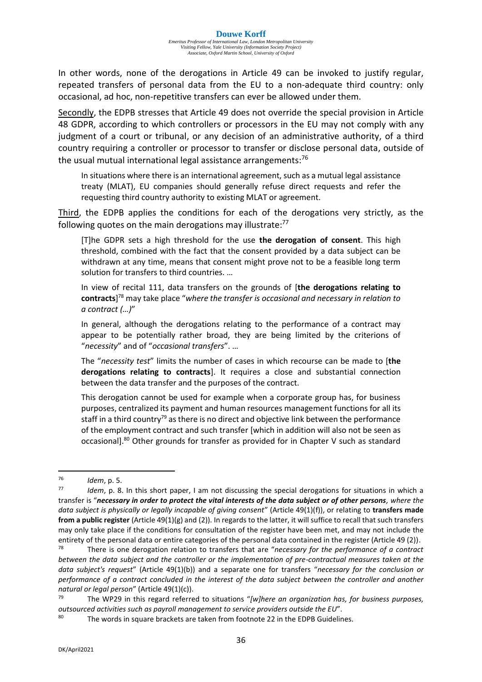In other words, none of the derogations in Article 49 can be invoked to justify regular, repeated transfers of personal data from the EU to a non-adequate third country: only occasional, ad hoc, non-repetitive transfers can ever be allowed under them.

Secondly, the EDPB stresses that Article 49 does not override the special provision in Article 48 GDPR, according to which controllers or processors in the EU may not comply with any judgment of a court or tribunal, or any decision of an administrative authority, of a third country requiring a controller or processor to transfer or disclose personal data, outside of the usual mutual international legal assistance arrangements: $76$ 

In situations where there is an international agreement, such as a mutual legal assistance treaty (MLAT), EU companies should generally refuse direct requests and refer the requesting third country authority to existing MLAT or agreement.

Third, the EDPB applies the conditions for each of the derogations very strictly, as the following quotes on the main derogations may illustrate:<sup>77</sup>

[T]he GDPR sets a high threshold for the use **the derogation of consent**. This high threshold, combined with the fact that the consent provided by a data subject can be withdrawn at any time, means that consent might prove not to be a feasible long term solution for transfers to third countries. …

In view of recital 111, data transfers on the grounds of [**the derogations relating to contracts**] <sup>78</sup> may take place "*where the transfer is occasional and necessary in relation to a contract (…)*"

In general, although the derogations relating to the performance of a contract may appear to be potentially rather broad, they are being limited by the criterions of "*necessity*" and of "*occasional transfers*". …

The "*necessity test*" limits the number of cases in which recourse can be made to [**the derogations relating to contracts**]. It requires a close and substantial connection between the data transfer and the purposes of the contract.

This derogation cannot be used for example when a corporate group has, for business purposes, centralized its payment and human resources management functions for all its staff in a third country<sup>79</sup> as there is no direct and objective link between the performance of the employment contract and such transfer [which in addition will also not be seen as occasional].<sup>80</sup> Other grounds for transfer as provided for in Chapter V such as standard

<sup>76</sup> *Idem*, p. 5.

<sup>77</sup> *Idem*, p. 8. In this short paper, I am not discussing the special derogations for situations in which a transfer is "*necessary in order to protect the vital interests of the data subject or of other persons, where the data subject is physically or legally incapable of giving consent*" (Article 49(1)(f)), or relating to **transfers made from a public register** (Article 49(1)(g) and (2)). In regards to the latter, it will suffice to recall that such transfers may only take place if the conditions for consultation of the register have been met, and may not include the entirety of the personal data or entire categories of the personal data contained in the register (Article 49 (2)).<br><sup>78</sup> There is one desegration relation to transfers that are "necessary for the negformance of a contract

There is one derogation relation to transfers that are "*necessary for the performance of a contract between the data subject and the controller or the implementation of pre-contractual measures taken at the data subject's request*" (Article 49(1)(b)) and a separate one for transfers "*necessary for the conclusion or performance of a contract concluded in the interest of the data subject between the controller and another*  natural or legal person" (Article 49(1)(c)).<br><sup>79</sup> The WP20 in this regard referred

The WP29 in this regard referred to situations "*[w]here an organization has, for business purposes, outsourced activities such as payroll management to service providers outside the EU*".

<sup>80</sup> The words in square brackets are taken from footnote 22 in the EDPB Guidelines.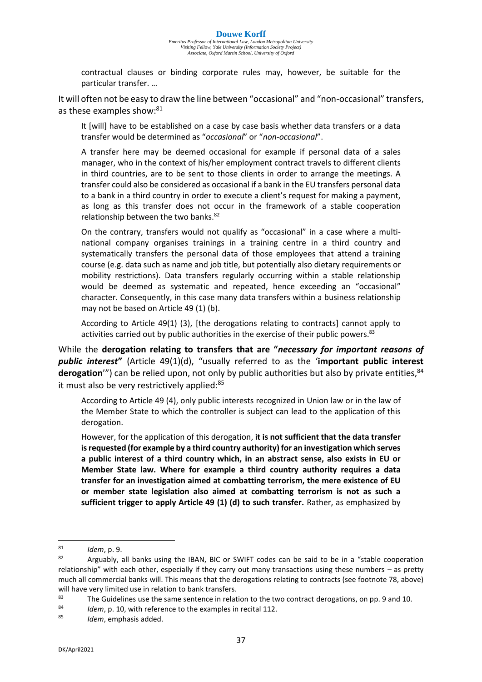contractual clauses or binding corporate rules may, however, be suitable for the particular transfer. …

It will often not be easy to draw the line between "occasional" and "non-occasional" transfers, as these examples show:<sup>81</sup>

It [will] have to be established on a case by case basis whether data transfers or a data transfer would be determined as "*occasional*" or "*non-occasional*".

A transfer here may be deemed occasional for example if personal data of a sales manager, who in the context of his/her employment contract travels to different clients in third countries, are to be sent to those clients in order to arrange the meetings. A transfer could also be considered as occasional if a bank in the EU transfers personal data to a bank in a third country in order to execute a client's request for making a payment, as long as this transfer does not occur in the framework of a stable cooperation relationship between the two banks.<sup>82</sup>

On the contrary, transfers would not qualify as "occasional" in a case where a multinational company organises trainings in a training centre in a third country and systematically transfers the personal data of those employees that attend a training course (e.g. data such as name and job title, but potentially also dietary requirements or mobility restrictions). Data transfers regularly occurring within a stable relationship would be deemed as systematic and repeated, hence exceeding an "occasional" character. Consequently, in this case many data transfers within a business relationship may not be based on Article 49 (1) (b).

According to Article 49(1) (3), [the derogations relating to contracts] cannot apply to activities carried out by public authorities in the exercise of their public powers. $83$ 

While the **derogation relating to transfers that are "***necessary for important reasons of public interest***"** (Article 49(1)(d), "usually referred to as the '**important public interest**  derogation'") can be relied upon, not only by public authorities but also by private entities,<sup>84</sup> it must also be very restrictively applied: $85$ 

According to Article 49 (4), only public interests recognized in Union law or in the law of the Member State to which the controller is subject can lead to the application of this derogation.

However, for the application of this derogation, **it is not sufficient that the data transfer is requested (for example by a third country authority) for an investigation which serves a public interest of a third country which, in an abstract sense, also exists in EU or Member State law. Where for example a third country authority requires a data transfer for an investigation aimed at combatting terrorism, the mere existence of EU or member state legislation also aimed at combatting terrorism is not as such a sufficient trigger to apply Article 49 (1) (d) to such transfer.** Rather, as emphasized by

<sup>81</sup> *Idem*, p. 9.

Arguably, all banks using the IBAN, BIC or SWIFT codes can be said to be in a "stable cooperation relationship" with each other, especially if they carry out many transactions using these numbers – as pretty much all commercial banks will. This means that the derogations relating to contracts (see footnote 78, above) will have very limited use in relation to bank transfers.

<sup>&</sup>lt;sup>83</sup> The Guidelines use the same sentence in relation to the two contract derogations, on pp. 9 and 10.<br><sup>84</sup> *Idam n* 10 with reference to the evamples in recital 112.

<sup>84</sup> *Idem, p. 10, with reference to the examples in recital 112.*<br>85 *Idem smakesis* added

Idem, emphasis added.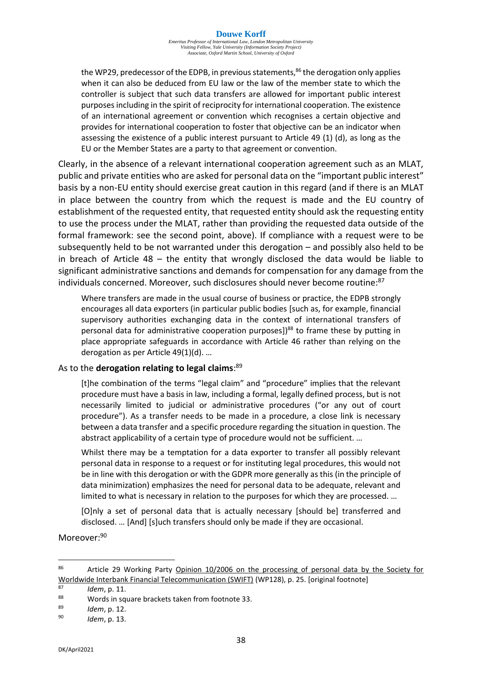*Emeritus Professor of International Law, London Metropolitan University Visiting Fellow, Yale University (Information Society Project) Associate, Oxford Martin School, University of Oxford*

the WP29, predecessor of the EDPB, in previous statements, $86$  the derogation only applies when it can also be deduced from EU law or the law of the member state to which the controller is subject that such data transfers are allowed for important public interest purposes including in the spirit of reciprocity for international cooperation. The existence of an international agreement or convention which recognises a certain objective and provides for international cooperation to foster that objective can be an indicator when assessing the existence of a public interest pursuant to Article 49 (1) (d), as long as the EU or the Member States are a party to that agreement or convention.

Clearly, in the absence of a relevant international cooperation agreement such as an MLAT, public and private entities who are asked for personal data on the "important public interest" basis by a non-EU entity should exercise great caution in this regard (and if there is an MLAT in place between the country from which the request is made and the EU country of establishment of the requested entity, that requested entity should ask the requesting entity to use the process under the MLAT, rather than providing the requested data outside of the formal framework: see the second point, above). If compliance with a request were to be subsequently held to be not warranted under this derogation – and possibly also held to be in breach of Article 48 – the entity that wrongly disclosed the data would be liable to significant administrative sanctions and demands for compensation for any damage from the individuals concerned. Moreover, such disclosures should never become routine:<sup>87</sup>

Where transfers are made in the usual course of business or practice, the EDPB strongly encourages all data exporters (in particular public bodies [such as, for example, financial supervisory authorities exchanging data in the context of international transfers of personal data for administrative cooperation purposes])<sup>88</sup> to frame these by putting in place appropriate safeguards in accordance with Article 46 rather than relying on the derogation as per Article 49(1)(d). …

#### As to the **derogation relating to legal claims**: 89

[t]he combination of the terms "legal claim" and "procedure" implies that the relevant procedure must have a basis in law, including a formal, legally defined process, but is not necessarily limited to judicial or administrative procedures ("or any out of court procedure"). As a transfer needs to be made in a procedure, a close link is necessary between a data transfer and a specific procedure regarding the situation in question. The abstract applicability of a certain type of procedure would not be sufficient. …

Whilst there may be a temptation for a data exporter to transfer all possibly relevant personal data in response to a request or for instituting legal procedures, this would not be in line with this derogation or with the GDPR more generally as this (in the principle of data minimization) emphasizes the need for personal data to be adequate, relevant and limited to what is necessary in relation to the purposes for which they are processed. …

[O]nly a set of personal data that is actually necessary [should be] transferred and disclosed. … [And] [s]uch transfers should only be made if they are occasional.

Moreover: 90

<sup>86</sup> Article 29 Working Party Opinion 10/2006 on the processing of personal data by the Society for Worldwide Interbank Financial Telecommunication (SWIFT) (WP128), p. 25. [original footnote]

<sup>87</sup> *Idem*, p. 11.

<sup>&</sup>lt;sup>88</sup> Words in square brackets taken from footnote 33.<br><sup>89</sup> Mam n 12

<sup>89</sup> *Idem*, p. 12.

<sup>90</sup> *Idem*, p. 13.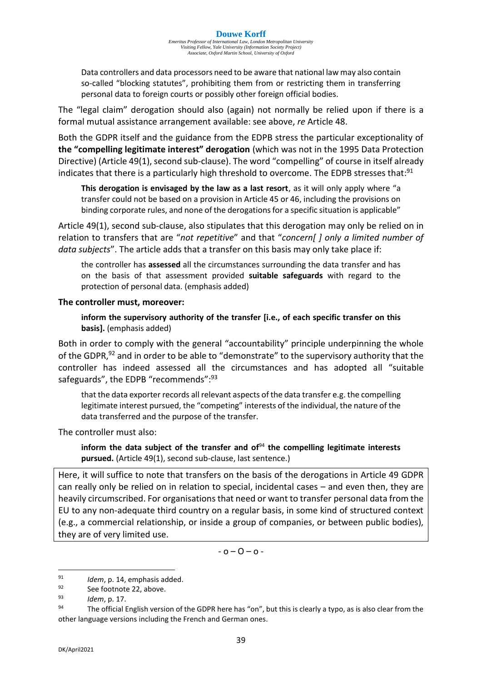Data controllers and data processors need to be aware that national law may also contain so-called "blocking statutes", prohibiting them from or restricting them in transferring personal data to foreign courts or possibly other foreign official bodies.

The "legal claim" derogation should also (again) not normally be relied upon if there is a formal mutual assistance arrangement available: see above, *re* Article 48.

Both the GDPR itself and the guidance from the EDPB stress the particular exceptionality of **the "compelling legitimate interest" derogation** (which was not in the 1995 Data Protection Directive) (Article 49(1), second sub-clause). The word "compelling" of course in itself already indicates that there is a particularly high threshold to overcome. The EDPB stresses that:<sup>91</sup>

**This derogation is envisaged by the law as a last resort**, as it will only apply where "a transfer could not be based on a provision in Article 45 or 46, including the provisions on binding corporate rules, and none of the derogations for a specific situation is applicable"

Article 49(1), second sub-clause, also stipulates that this derogation may only be relied on in relation to transfers that are "*not repetitive*" and that "*concern[ ] only a limited number of data subjects*". The article adds that a transfer on this basis may only take place if:

the controller has **assessed** all the circumstances surrounding the data transfer and has on the basis of that assessment provided **suitable safeguards** with regard to the protection of personal data. (emphasis added)

#### **The controller must, moreover:**

**inform the supervisory authority of the transfer [i.e., of each specific transfer on this basis].** (emphasis added)

Both in order to comply with the general "accountability" principle underpinning the whole of the GDPR,<sup>92</sup> and in order to be able to "demonstrate" to the supervisory authority that the controller has indeed assessed all the circumstances and has adopted all "suitable safeguards", the EDPB "recommends":<sup>93</sup>

that the data exporter records all relevant aspects of the data transfer e.g. the compelling legitimate interest pursued, the "competing" interests of the individual, the nature of the data transferred and the purpose of the transfer.

The controller must also:

**inform the data subject of the transfer and of** <sup>94</sup> **the compelling legitimate interests pursued.** (Article 49(1), second sub-clause, last sentence.)

Here, it will suffice to note that transfers on the basis of the derogations in Article 49 GDPR can really only be relied on in relation to special, incidental cases – and even then, they are heavily circumscribed. For organisations that need or want to transfer personal data from the EU to any non-adequate third country on a regular basis, in some kind of structured context (e.g., a commercial relationship, or inside a group of companies, or between public bodies), they are of very limited use.

 $-0 - 0 - 0 -$ 

<sup>91</sup> *Idem*, p. 14, emphasis added.

 $\frac{92}{93}$  See footnote 22, above.

 $^{93}$  *Idem*, p. 17.<br> $^{94}$  The official I

The official English version of the GDPR here has "on", but this is clearly a typo, as is also clear from the other language versions including the French and German ones.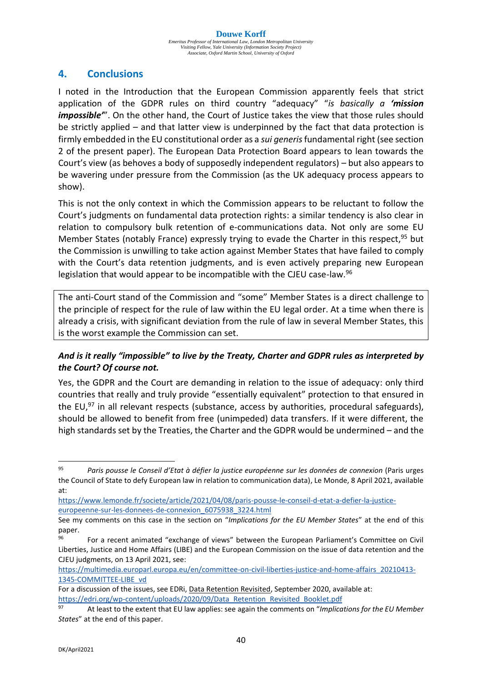# **4. Conclusions**

I noted in the Introduction that the European Commission apparently feels that strict application of the GDPR rules on third country "adequacy" "*is basically a 'mission impossible*<sup>*m*</sup>. On the other hand, the Court of Justice takes the view that those rules should be strictly applied – and that latter view is underpinned by the fact that data protection is firmly embedded in the EU constitutional order as a *sui generis*fundamental right (see section 2 of the present paper). The European Data Protection Board appears to lean towards the Court's view (as behoves a body of supposedly independent regulators) – but also appears to be wavering under pressure from the Commission (as the UK adequacy process appears to show).

This is not the only context in which the Commission appears to be reluctant to follow the Court's judgments on fundamental data protection rights: a similar tendency is also clear in relation to compulsory bulk retention of e-communications data. Not only are some EU Member States (notably France) expressly trying to evade the Charter in this respect,<sup>95</sup> but the Commission is unwilling to take action against Member States that have failed to comply with the Court's data retention judgments, and is even actively preparing new European legislation that would appear to be incompatible with the CJEU case-law.<sup>96</sup>

The anti-Court stand of the Commission and "some" Member States is a direct challenge to the principle of respect for the rule of law within the EU legal order. At a time when there is already a crisis, with significant deviation from the rule of law in several Member States, this is the worst example the Commission can set.

## *And is it really "impossible" to live by the Treaty, Charter and GDPR rules as interpreted by the Court? Of course not.*

Yes, the GDPR and the Court are demanding in relation to the issue of adequacy: only third countries that really and truly provide "essentially equivalent" protection to that ensured in the EU,<sup>97</sup> in all relevant respects (substance, access by authorities, procedural safeguards), should be allowed to benefit from free (unimpeded) data transfers. If it were different, the high standards set by the Treaties, the Charter and the GDPR would be undermined – and the

<sup>95</sup> *Paris pousse le Conseil d'Etat à défier la justice européenne sur les données de connexion* (Paris urges the Council of State to defy European law in relation to communication data), Le Monde, 8 April 2021, available at:

[https://www.lemonde.fr/societe/article/2021/04/08/paris-pousse-le-conseil-d-etat-a-defier-la-justice](https://www.lemonde.fr/societe/article/2021/04/08/paris-pousse-le-conseil-d-etat-a-defier-la-justice-europeenne-sur-les-donnees-de-connexion_6075938_3224.html)[europeenne-sur-les-donnees-de-connexion\\_6075938\\_3224.html](https://www.lemonde.fr/societe/article/2021/04/08/paris-pousse-le-conseil-d-etat-a-defier-la-justice-europeenne-sur-les-donnees-de-connexion_6075938_3224.html)

See my comments on this case in the section on "*Implications for the EU Member States*" at the end of this paper.

<sup>&</sup>lt;sup>96</sup> For a recent animated "exchange of views" between the European Parliament's Committee on Civil Liberties, Justice and Home Affairs (LIBE) and the European Commission on the issue of data retention and the CJEU judgments, on 13 April 2021, see:

[https://multimedia.europarl.europa.eu/en/committee-on-civil-liberties-justice-and-home-affairs\\_20210413-](https://multimedia.europarl.europa.eu/en/committee-on-civil-liberties-justice-and-home-affairs_20210413-1345-COMMITTEE-LIBE_vd) [1345-COMMITTEE-LIBE\\_vd](https://multimedia.europarl.europa.eu/en/committee-on-civil-liberties-justice-and-home-affairs_20210413-1345-COMMITTEE-LIBE_vd)

For a discussion of the issues, see EDRi, Data Retention Revisited, September 2020, available at: [https://edri.org/wp-content/uploads/2020/09/Data\\_Retention\\_Revisited\\_Booklet.pdf](https://edri.org/wp-content/uploads/2020/09/Data_Retention_Revisited_Booklet.pdf)

<sup>97</sup> At least to the extent that EU law applies: see again the comments on "*Implications for the EU Member States*" at the end of this paper.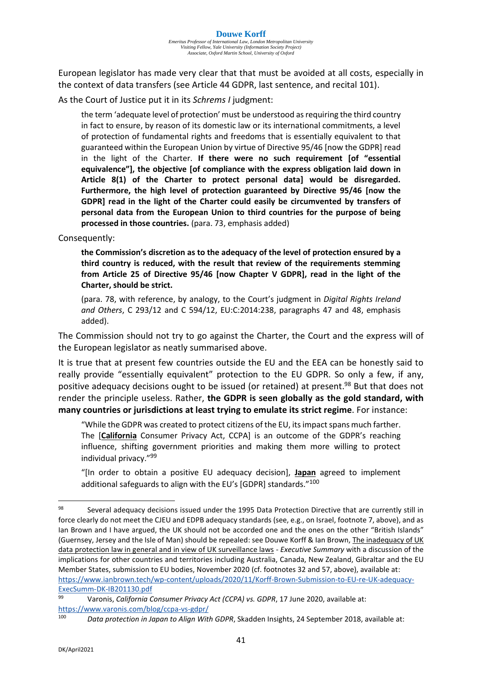European legislator has made very clear that that must be avoided at all costs, especially in the context of data transfers (see Article 44 GDPR, last sentence, and recital 101).

As the Court of Justice put it in its *Schrems I* judgment:

the term 'adequate level of protection' must be understood as requiring the third country in fact to ensure, by reason of its domestic law or its international commitments, a level of protection of fundamental rights and freedoms that is essentially equivalent to that guaranteed within the European Union by virtue of Directive 95/46 [now the GDPR] read in the light of the Charter. **If there were no such requirement [of "essential equivalence"], the objective [of compliance with the express obligation laid down in Article 8(1) of the Charter to protect personal data] would be disregarded. Furthermore, the high level of protection guaranteed by Directive 95/46 [now the GDPR] read in the light of the Charter could easily be circumvented by transfers of personal data from the European Union to third countries for the purpose of being processed in those countries.** (para. 73, emphasis added)

Consequently:

**the Commission's discretion as to the adequacy of the level of protection ensured by a third country is reduced, with the result that review of the requirements stemming from Article 25 of Directive 95/46 [now Chapter V GDPR], read in the light of the Charter, should be strict.**

(para. 78, with reference, by analogy, to the Court's judgment in *Digital Rights Ireland and Others*, C 293/12 and C 594/12, EU:C:2014:238, paragraphs 47 and 48, emphasis added).

The Commission should not try to go against the Charter, the Court and the express will of the European legislator as neatly summarised above.

It is true that at present few countries outside the EU and the EEA can be honestly said to really provide "essentially equivalent" protection to the EU GDPR. So only a few, if any, positive adequacy decisions ought to be issued (or retained) at present. <sup>98</sup> But that does not render the principle useless. Rather, **the GDPR is seen globally as the gold standard, with many countries or jurisdictions at least trying to emulate its strict regime**. For instance:

"While the GDPR was created to protect citizens of the EU, its impact spans much farther. The [**California** Consumer Privacy Act, CCPA] is an outcome of the GDPR's reaching influence, shifting government priorities and making them more willing to protect individual privacy." 99

"[In order to obtain a positive EU adequacy decision], **Japan** agreed to implement additional safeguards to align with the EU's [GDPR] standards."<sup>100</sup>

<sup>98</sup> Several adequacy decisions issued under the 1995 Data Protection Directive that are currently still in force clearly do not meet the CJEU and EDPB adequacy standards (see, e.g., on Israel, footnote 7, above), and as Ian Brown and I have argued, the UK should not be accorded one and the ones on the other "British Islands" (Guernsey, Jersey and the Isle of Man) should be repealed: see Douwe Korff & Ian Brown, The inadequacy of UK data protection law in general and in view of UK surveillance laws - *Executive Summary* with a discussion of the implications for other countries and territories including Australia, Canada, New Zealand, Gibraltar and the EU Member States, submission to EU bodies, November 2020 (cf. footnotes 32 and 57, above), available at: [https://www.ianbrown.tech/wp-content/uploads/2020/11/Korff-Brown-Submission-to-EU-re-UK-adequacy-](https://www.ianbrown.tech/wp-content/uploads/2020/11/Korff-Brown-Submission-to-EU-re-UK-adequacy-ExecSumm-DK-IB201130.pdf)[ExecSumm-DK-IB201130.pdf](https://www.ianbrown.tech/wp-content/uploads/2020/11/Korff-Brown-Submission-to-EU-re-UK-adequacy-ExecSumm-DK-IB201130.pdf)

<sup>99</sup> Varonis, *California Consumer Privacy Act (CCPA) vs. GDPR*, 17 June 2020, available at: <https://www.varonis.com/blog/ccpa-vs-gdpr/>

<sup>100</sup> *Data protection in Japan to Align With GDPR*, Skadden Insights, 24 September 2018, available at: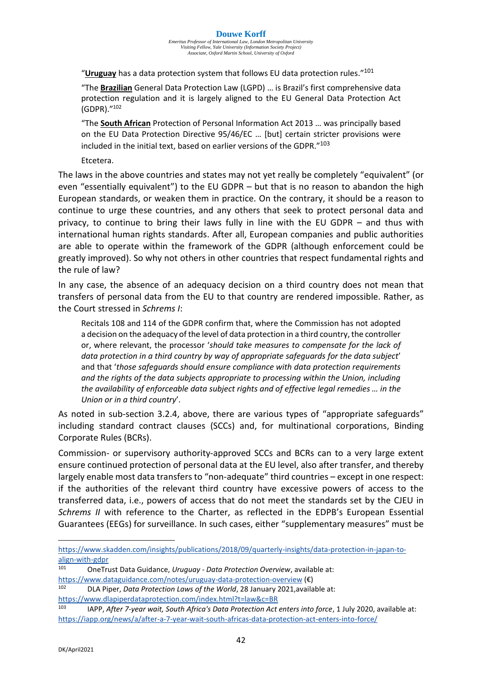"**Uruguay** has a data protection system that follows EU data protection rules." 101

"The **Brazilian** General Data Protection Law (LGPD) … is Brazil's first comprehensive data protection regulation and it is largely aligned to the EU General Data Protection Act (GDPR)." 102

"The **South African** Protection of Personal Information Act 2013 … was principally based on the EU Data Protection Directive 95/46/EC … [but] certain stricter provisions were included in the initial text, based on earlier versions of the GDPR." 103

Etcetera.

The laws in the above countries and states may not yet really be completely "equivalent" (or even "essentially equivalent") to the EU GDPR – but that is no reason to abandon the high European standards, or weaken them in practice. On the contrary, it should be a reason to continue to urge these countries, and any others that seek to protect personal data and privacy, to continue to bring their laws fully in line with the EU GDPR – and thus with international human rights standards. After all, European companies and public authorities are able to operate within the framework of the GDPR (although enforcement could be greatly improved). So why not others in other countries that respect fundamental rights and the rule of law?

In any case, the absence of an adequacy decision on a third country does not mean that transfers of personal data from the EU to that country are rendered impossible. Rather, as the Court stressed in *Schrems I*:

Recitals 108 and 114 of the GDPR confirm that, where the Commission has not adopted a decision on the adequacy of the level of data protection in a third country, the controller or, where relevant, the processor '*should take measures to compensate for the lack of data protection in a third country by way of appropriate safeguards for the data subject*' and that '*those safeguards should ensure compliance with data protection requirements and the rights of the data subjects appropriate to processing within the Union, including the availability of enforceable data subject rights and of effective legal remedies … in the Union or in a third country*'.

As noted in sub-section 3.2.4, above, there are various types of "appropriate safeguards" including standard contract clauses (SCCs) and, for multinational corporations, Binding Corporate Rules (BCRs).

Commission- or supervisory authority-approved SCCs and BCRs can to a very large extent ensure continued protection of personal data at the EU level, also after transfer, and thereby largely enable most data transfers to "non-adequate" third countries – except in one respect: if the authorities of the relevant third country have excessive powers of access to the transferred data, i.e., powers of access that do not meet the standards set by the CJEU in *Schrems II* with reference to the Charter, as reflected in the EDPB's European Essential Guarantees (EEGs) for surveillance. In such cases, either "supplementary measures" must be

[https://www.skadden.com/insights/publications/2018/09/quarterly-insights/data-protection-in-japan-to](https://www.skadden.com/insights/publications/2018/09/quarterly-insights/data-protection-in-japan-to-align-with-gdpr)[align-with-gdpr](https://www.skadden.com/insights/publications/2018/09/quarterly-insights/data-protection-in-japan-to-align-with-gdpr)<br>101 Chartru

<sup>101</sup> OneTrust Data Guidance, *Uruguay - Data Protection Overview*, available at: <https://www.dataguidance.com/notes/uruguay-data-protection-overview> (€)

<sup>102</sup> DLA Piper, *Data Protection Laws of the World*, 28 January 2021,available at: <https://www.dlapiperdataprotection.com/index.html?t=law&c=BR>

<sup>103</sup> IAPP, *After 7-year wait, South Africa's Data Protection Act enters into force*, 1 July 2020, available at: <https://iapp.org/news/a/after-a-7-year-wait-south-africas-data-protection-act-enters-into-force/>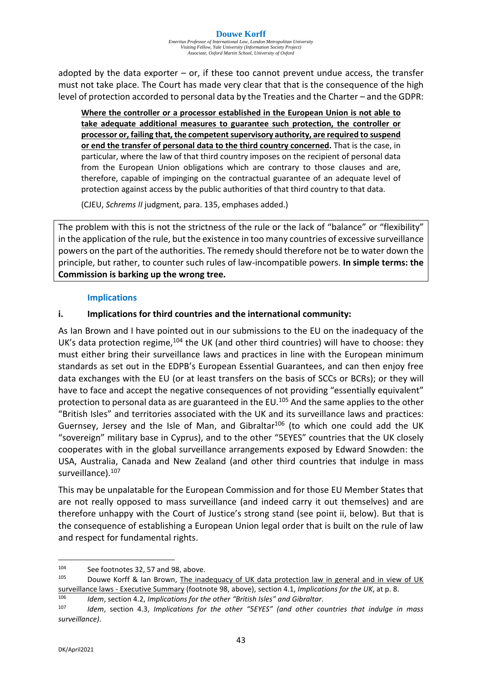adopted by the data exporter  $-$  or, if these too cannot prevent undue access, the transfer must not take place. The Court has made very clear that that is the consequence of the high level of protection accorded to personal data by the Treaties and the Charter – and the GDPR:

**Where the controller or a processor established in the European Union is not able to take adequate additional measures to guarantee such protection, the controller or processor or, failing that, the competent supervisory authority, are required to suspend or end the transfer of personal data to the third country concerned.** That is the case, in particular, where the law of that third country imposes on the recipient of personal data from the European Union obligations which are contrary to those clauses and are, therefore, capable of impinging on the contractual guarantee of an adequate level of protection against access by the public authorities of that third country to that data.

(CJEU, *Schrems II* judgment, para. 135, emphases added.)

The problem with this is not the strictness of the rule or the lack of "balance" or "flexibility" in the application of the rule, but the existence in too many countries of excessive surveillance powers on the part of the authorities. The remedy should therefore not be to water down the principle, but rather, to counter such rules of law-incompatible powers. **In simple terms: the Commission is barking up the wrong tree.**

#### **Implications**

#### **i. Implications for third countries and the international community:**

As Ian Brown and I have pointed out in our submissions to the EU on the inadequacy of the UK's data protection regime,<sup>104</sup> the UK (and other third countries) will have to choose: they must either bring their surveillance laws and practices in line with the European minimum standards as set out in the EDPB's European Essential Guarantees, and can then enjoy free data exchanges with the EU (or at least transfers on the basis of SCCs or BCRs); or they will have to face and accept the negative consequences of not providing "essentially equivalent" protection to personal data as are guaranteed in the EU.<sup>105</sup> And the same applies to the other "British Isles" and territories associated with the UK and its surveillance laws and practices: Guernsey, Jersey and the Isle of Man, and Gibraltar<sup>106</sup> (to which one could add the UK "sovereign" military base in Cyprus), and to the other "5EYES" countries that the UK closely cooperates with in the global surveillance arrangements exposed by Edward Snowden: the USA, Australia, Canada and New Zealand (and other third countries that indulge in mass surveillance).<sup>107</sup>

This may be unpalatable for the European Commission and for those EU Member States that are not really opposed to mass surveillance (and indeed carry it out themselves) and are therefore unhappy with the Court of Justice's strong stand (see point ii, below). But that is the consequence of establishing a European Union legal order that is built on the rule of law and respect for fundamental rights.

<sup>104</sup> See footnotes 32, 57 and 98, above.

Douwe Korff & Ian Brown, The inadequacy of UK data protection law in general and in view of UK surveillance laws - Executive Summary (footnote 98, above), section 4.1, *Implications for the UK*, at p. 8.

<sup>106</sup> *Idem*, section 4.2, *Implications for the other "British Isles" and Gibraltar*.

Idem, section 4.3, *Implications for the other "5EYES" (and other countries that indulge in mass surveillance)*.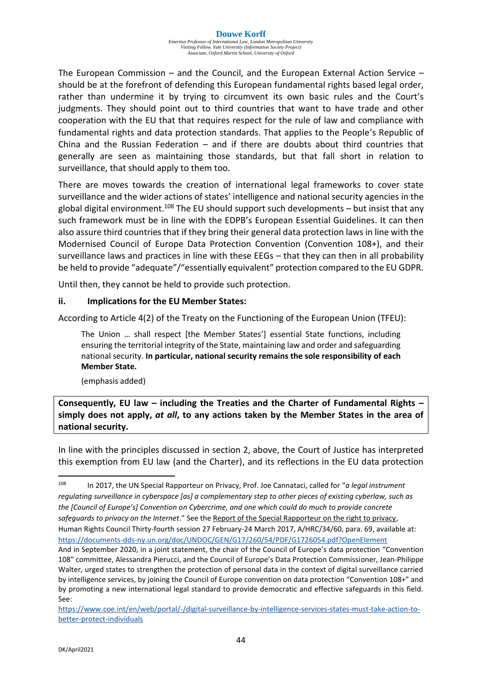The European Commission – and the Council, and the European External Action Service – should be at the forefront of defending this European fundamental rights based legal order, rather than undermine it by trying to circumvent its own basic rules and the Court's judgments. They should point out to third countries that want to have trade and other cooperation with the EU that that requires respect for the rule of law and compliance with fundamental rights and data protection standards. That applies to the People's Republic of China and the Russian Federation – and if there are doubts about third countries that generally are seen as maintaining those standards, but that fall short in relation to surveillance, that should apply to them too.

There are moves towards the creation of international legal frameworks to cover state surveillance and the wider actions of states' intelligence and national security agencies in the global digital environment.<sup>108</sup> The EU should support such developments – but insist that any such framework must be in line with the EDPB's European Essential Guidelines. It can then also assure third countries that if they bring their general data protection laws in line with the Modernised Council of Europe Data Protection Convention (Convention 108+), and their surveillance laws and practices in line with these EEGs – that they can then in all probability be held to provide "adequate"/"essentially equivalent" protection compared to the EU GDPR.

Until then, they cannot be held to provide such protection.

#### **ii. Implications for the EU Member States:**

According to Article 4(2) of the Treaty on the Functioning of the European Union (TFEU):

The Union … shall respect [the Member States'] essential State functions, including ensuring the territorial integrity of the State, maintaining law and order and safeguarding national security. **In particular, national security remains the sole responsibility of each Member State.**

(emphasis added)

**Consequently, EU law – including the Treaties and the Charter of Fundamental Rights – simply does not apply,** *at all***, to any actions taken by the Member States in the area of national security.**

In line with the principles discussed in section 2, above, the Court of Justice has interpreted this exemption from EU law (and the Charter), and its reflections in the EU data protection

<sup>108</sup> In 2017, the UN Special Rapporteur on Privacy, Prof. Joe Cannataci, called for "*a legal instrument regulating surveillance in cyberspace [as] a complementary step to other pieces of existing cyberlaw, such as the [Council of Europe's] Convention on Cybercrime, and one which could do much to provide concrete safeguards to privacy on the Internet*." See the Report of the Special Rapporteur on the right to privacy, Human Rights Council Thirty-fourth session 27 February-24 March 2017, A/HRC/34/60, para. 69, available at: <https://documents-dds-ny.un.org/doc/UNDOC/GEN/G17/260/54/PDF/G1726054.pdf?OpenElement>

And in September 2020, in a joint statement, the chair of the Council of Europe's data protection "Convention 108" committee, Alessandra Pierucci, and the Council of Europe's Data Protection Commissioner, Jean-Philippe Walter, urged states to strengthen the protection of personal data in the context of digital surveillance carried by intelligence services, by joining the Council of Europe convention on data protection "Convention 108+" and by promoting a new international legal standard to provide democratic and effective safeguards in this field. See:

[https://www.coe.int/en/web/portal/-/digital-surveillance-by-intelligence-services-states-must-take-action-to](https://www.coe.int/en/web/portal/-/digital-surveillance-by-intelligence-services-states-must-take-action-to-better-protect-individuals)[better-protect-individuals](https://www.coe.int/en/web/portal/-/digital-surveillance-by-intelligence-services-states-must-take-action-to-better-protect-individuals)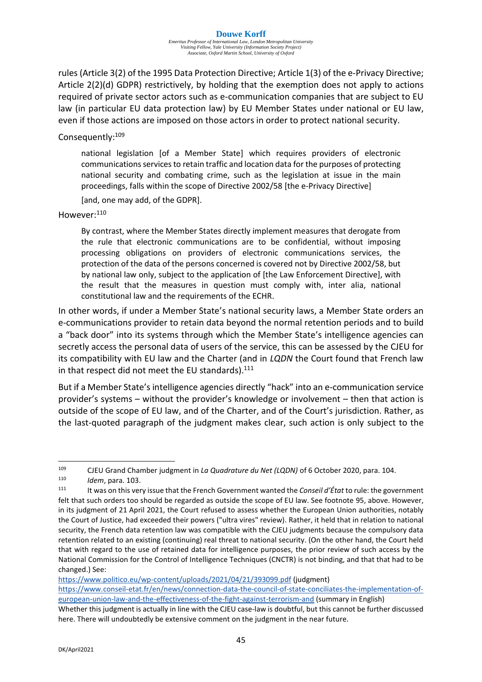rules (Article 3(2) of the 1995 Data Protection Directive; Article 1(3) of the e-Privacy Directive; Article 2(2)(d) GDPR) restrictively, by holding that the exemption does not apply to actions required of private sector actors such as e-communication companies that are subject to EU law (in particular EU data protection law) by EU Member States under national or EU law, even if those actions are imposed on those actors in order to protect national security.

## Consequently: 109

national legislation [of a Member State] which requires providers of electronic communications services to retain traffic and location data for the purposes of protecting national security and combating crime, such as the legislation at issue in the main proceedings, falls within the scope of Directive 2002/58 [the e-Privacy Directive]

[and, one may add, of the GDPR].

#### However:<sup>110</sup>

By contrast, where the Member States directly implement measures that derogate from the rule that electronic communications are to be confidential, without imposing processing obligations on providers of electronic communications services, the protection of the data of the persons concerned is covered not by Directive 2002/58, but by national law only, subject to the application of [the Law Enforcement Directive], with the result that the measures in question must comply with, inter alia, national constitutional law and the requirements of the ECHR.

In other words, if under a Member State's national security laws, a Member State orders an e-communications provider to retain data beyond the normal retention periods and to build a "back door" into its systems through which the Member State's intelligence agencies can secretly access the personal data of users of the service, this can be assessed by the CJEU for its compatibility with EU law and the Charter (and in *LQDN* the Court found that French law in that respect did not meet the EU standards). $111$ 

But if a Member State's intelligence agencies directly "hack" into an e-communication service provider's systems – without the provider's knowledge or involvement – then that action is outside of the scope of EU law, and of the Charter, and of the Court's jurisdiction. Rather, as the last-quoted paragraph of the judgment makes clear, such action is only subject to the

<https://www.politico.eu/wp-content/uploads/2021/04/21/393099.pdf> (judgment)

[https://www.conseil-etat.fr/en/news/connection-data-the-council-of-state-conciliates-the-implementation-of](https://www.conseil-etat.fr/en/news/connection-data-the-council-of-state-conciliates-the-implementation-of-european-union-law-and-the-effectiveness-of-the-fight-against-terrorism-and)[european-union-law-and-the-effectiveness-of-the-fight-against-terrorism-and](https://www.conseil-etat.fr/en/news/connection-data-the-council-of-state-conciliates-the-implementation-of-european-union-law-and-the-effectiveness-of-the-fight-against-terrorism-and) (summary in English)

<sup>109</sup> CJEU Grand Chamber judgment in *La Quadrature du Net (LQDN)* of 6 October 2020, para. 104.

<sup>110</sup> *Idem*, para. 103.

<sup>111</sup> It was on this very issue that the French Government wanted the *Conseil d'État* to rule: the government felt that such orders too should be regarded as outside the scope of EU law. See footnote 95, above. However, in its judgment of 21 April 2021, the Court refused to assess whether the European Union authorities, notably the Court of Justice, had exceeded their powers ("ultra vires" review). Rather, it held that in relation to national security, the French data retention law was compatible with the CJEU judgments because the compulsory data retention related to an existing (continuing) real threat to national security. (On the other hand, the Court held that with regard to the use of retained data for intelligence purposes, the prior review of such access by the National Commission for the Control of Intelligence Techniques (CNCTR) is not binding, and that that had to be changed.) See:

Whether this judgment is actually in line with the CJEU case-law is doubtful, but this cannot be further discussed here. There will undoubtedly be extensive comment on the judgment in the near future.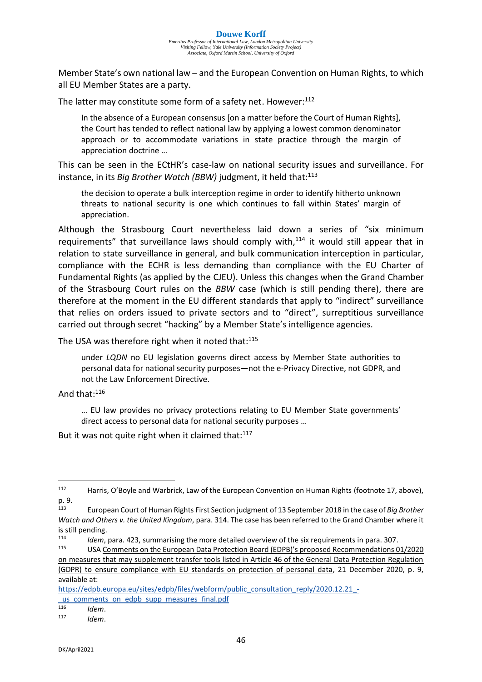Member State's own national law – and the European Convention on Human Rights, to which all EU Member States are a party.

The latter may constitute some form of a safety net. However:<sup>112</sup>

In the absence of a European consensus [on a matter before the Court of Human Rights], the Court has tended to reflect national law by applying a lowest common denominator approach or to accommodate variations in state practice through the margin of appreciation doctrine …

This can be seen in the ECtHR's case-law on national security issues and surveillance. For instance, in its *Big Brother Watch (BBW)* judgment, it held that: 113

the decision to operate a bulk interception regime in order to identify hitherto unknown threats to national security is one which continues to fall within States' margin of appreciation.

Although the Strasbourg Court nevertheless laid down a series of "six minimum requirements" that surveillance laws should comply with, $114$  it would still appear that in relation to state surveillance in general, and bulk communication interception in particular, compliance with the ECHR is less demanding than compliance with the EU Charter of Fundamental Rights (as applied by the CJEU). Unless this changes when the Grand Chamber of the Strasbourg Court rules on the *BBW* case (which is still pending there), there are therefore at the moment in the EU different standards that apply to "indirect" surveillance that relies on orders issued to private sectors and to "direct", surreptitious surveillance carried out through secret "hacking" by a Member State's intelligence agencies.

The USA was therefore right when it noted that:<sup>115</sup>

under *LQDN* no EU legislation governs direct access by Member State authorities to personal data for national security purposes—not the e-Privacy Directive, not GDPR, and not the Law Enforcement Directive.

And that:<sup>116</sup>

… EU law provides no privacy protections relating to EU Member State governments' direct access to personal data for national security purposes …

But it was not quite right when it claimed that:<sup>117</sup>

<sup>&</sup>lt;sup>112</sup> Harris, O'Boyle and Warbrick, Law of the European Convention on Human Rights (footnote 17, above), p. 9.

<sup>113</sup> European Court of Human Rights First Section judgment of 13 September 2018 in the case of *Big Brother Watch and Others v. the United Kingdom*, para. 314. The case has been referred to the Grand Chamber where it is still pending.

<sup>114</sup> *Idem*, para. 423, summarising the more detailed overview of the six requirements in para. 307.<br>115 **ILISA Comments on the European Data Protection Board (EDDB)'s proposed Becommendations 0** 

<sup>115</sup> USA Comments on the European Data Protection Board (EDPB)'s proposed Recommendations 01/2020 on measures that may supplement transfer tools listed in Article 46 of the General Data Protection Regulation (GDPR) to ensure compliance with EU standards on protection of personal data, 21 December 2020, p. 9, available at:

[https://edpb.europa.eu/sites/edpb/files/webform/public\\_consultation\\_reply/2020.12.21\\_-](https://edpb.europa.eu/sites/edpb/files/webform/public_consultation_reply/2020.12.21_-_us_comments_on_edpb_supp_measures_final.pdf) [\\_us\\_comments\\_on\\_edpb\\_supp\\_measures\\_final.pdf](https://edpb.europa.eu/sites/edpb/files/webform/public_consultation_reply/2020.12.21_-_us_comments_on_edpb_supp_measures_final.pdf)

<sup>116</sup> *Idem*.

<sup>117</sup> *Idem*.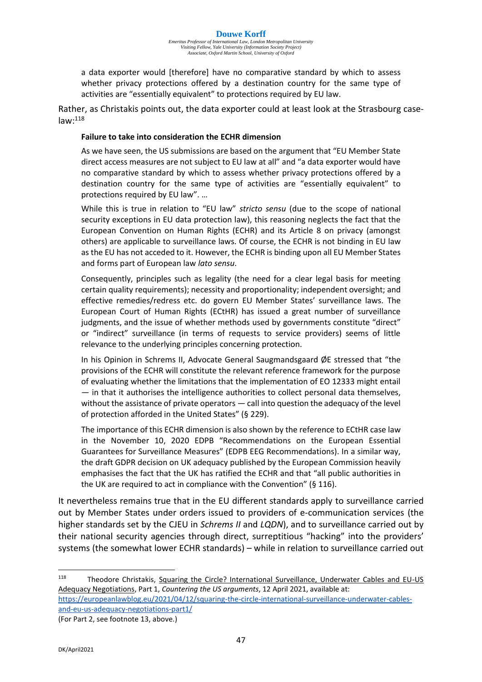*Emeritus Professor of International Law, London Metropolitan University Visiting Fellow, Yale University (Information Society Project) Associate, Oxford Martin School, University of Oxford*

a data exporter would [therefore] have no comparative standard by which to assess whether privacy protections offered by a destination country for the same type of activities are "essentially equivalent" to protections required by EU law.

Rather, as Christakis points out, the data exporter could at least look at the Strasbourg case $law: <sup>118</sup>$ 

#### **Failure to take into consideration the ECHR dimension**

As we have seen, the US submissions are based on the argument that "EU Member State direct access measures are not subject to EU law at all" and "a data exporter would have no comparative standard by which to assess whether privacy protections offered by a destination country for the same type of activities are "essentially equivalent" to protections required by EU law". …

While this is true in relation to "EU law" *stricto sensu* (due to the scope of national security exceptions in EU data protection law), this reasoning neglects the fact that the European Convention on Human Rights (ECHR) and its Article 8 on privacy (amongst others) are applicable to surveillance laws. Of course, the ECHR is not binding in EU law as the EU has not acceded to it. However, the ECHR is binding upon all EU Member States and forms part of European law *lato sensu*.

Consequently, principles such as legality (the need for a clear legal basis for meeting certain quality requirements); necessity and proportionality; independent oversight; and effective remedies/redress etc. do govern EU Member States' surveillance laws. The European Court of Human Rights (ECtHR) has issued a great number of surveillance judgments, and the issue of whether methods used by governments constitute "direct" or "indirect" surveillance (in terms of requests to service providers) seems of little relevance to the underlying principles concerning protection.

In his Opinion in Schrems II, Advocate General Saugmandsgaard ØE stressed that "the provisions of the ECHR will constitute the relevant reference framework for the purpose of evaluating whether the limitations that the implementation of EO 12333 might entail — in that it authorises the intelligence authorities to collect personal data themselves, without the assistance of private operators — call into question the adequacy of the level of protection afforded in the United States" (§ 229).

The importance of this ECHR dimension is also shown by the reference to ECtHR case law in the November 10, 2020 EDPB "Recommendations on the European Essential Guarantees for Surveillance Measures" (EDPB EEG Recommendations). In a similar way, the draft GDPR decision on UK adequacy published by the European Commission heavily emphasises the fact that the UK has ratified the ECHR and that "all public authorities in the UK are required to act in compliance with the Convention" (§ 116).

It nevertheless remains true that in the EU different standards apply to surveillance carried out by Member States under orders issued to providers of e-communication services (the higher standards set by the CJEU in *Schrems II* and *LQDN*), and to surveillance carried out by their national security agencies through direct, surreptitious "hacking" into the providers' systems (the somewhat lower ECHR standards) – while in relation to surveillance carried out

<sup>118</sup> Theodore Christakis, Squaring the Circle? International Surveillance, Underwater Cables and EU-US Adequacy Negotiations, Part 1, *Countering the US arguments*, 12 April 2021, available at: [https://europeanlawblog.eu/2021/04/12/squaring-the-circle-international-surveillance-underwater-cables](https://europeanlawblog.eu/2021/04/12/squaring-the-circle-international-surveillance-underwater-cables-and-eu-us-adequacy-negotiations-part1/)[and-eu-us-adequacy-negotiations-part1/](https://europeanlawblog.eu/2021/04/12/squaring-the-circle-international-surveillance-underwater-cables-and-eu-us-adequacy-negotiations-part1/)

(For Part 2, see footnote 13, above.)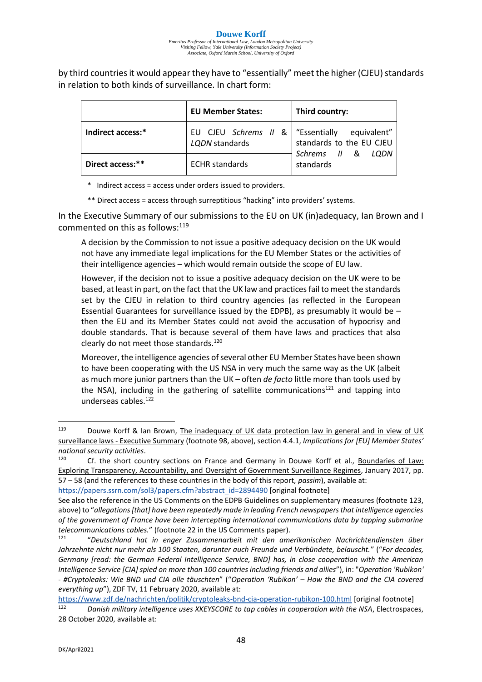by third countries it would appear they have to "essentially" meet the higher (CJEU) standards in relation to both kinds of surveillance. In chart form:

|                   | <b>EU Member States:</b>                              | Third country:                          |
|-------------------|-------------------------------------------------------|-----------------------------------------|
| Indirect access:* | EU CJEU Schrems II &   "Essentially<br>LQDN standards | equivalent"<br>standards to the EU CJEU |
| Direct access:**  | <b>ECHR</b> standards                                 | Schrems II &<br>LODN<br>standards       |

\* Indirect access = access under orders issued to providers.

\*\* Direct access = access through surreptitious "hacking" into providers' systems.

In the Executive Summary of our submissions to the EU on UK (in)adequacy, Ian Brown and I commented on this as follows:<sup>119</sup>

A decision by the Commission to not issue a positive adequacy decision on the UK would not have any immediate legal implications for the EU Member States or the activities of their intelligence agencies – which would remain outside the scope of EU law.

However, if the decision not to issue a positive adequacy decision on the UK were to be based, at least in part, on the fact that the UK law and practices fail to meet the standards set by the CJEU in relation to third country agencies (as reflected in the European Essential Guarantees for surveillance issued by the EDPB), as presumably it would be  $$ then the EU and its Member States could not avoid the accusation of hypocrisy and double standards. That is because several of them have laws and practices that also clearly do not meet those standards.<sup>120</sup>

Moreover, the intelligence agencies of several other EU Member States have been shown to have been cooperating with the US NSA in very much the same way as the UK (albeit as much more junior partners than the UK – often *de facto* little more than tools used by the NSA), including in the gathering of satellite communications<sup>121</sup> and tapping into underseas cables.<sup>122</sup>

[https://papers.ssrn.com/sol3/papers.cfm?abstract\\_id=2894490](https://papers.ssrn.com/sol3/papers.cfm?abstract_id=2894490) [original footnote]

<sup>119</sup> Douwe Korff & Ian Brown, The inadequacy of UK data protection law in general and in view of UK surveillance laws - Executive Summary (footnote 98, above), section 4.4.1, *Implications for [EU] Member States' national security activities*.

Cf. the short country sections on France and Germany in Douwe Korff et al., Boundaries of Law: Exploring Transparency, Accountability, and Oversight of Government Surveillance Regimes, January 2017, pp. 57 – 58 (and the references to these countries in the body of this report, *passim*), available at:

See also the reference in the US Comments on the EDPB Guidelines on supplementary measures (footnote 123, above) to "*allegations [that] have been repeatedly made in leading French newspapers that intelligence agencies of the government of France have been intercepting international communications data by tapping submarine telecommunications cables.*" (footnote 22 in the US Comments paper).

<sup>121</sup> "*Deutschland hat in enger Zusammenarbeit mit den amerikanischen Nachrichtendiensten über Jahrzehnte nicht nur mehr als 100 Staaten, darunter auch Freunde und Verbündete, belauscht.*" ("*For decades, Germany [read: the German Federal Intelligence Service, BND] has, in close cooperation with the American Intelligence Service [CIA] spied on more than 100 countries including friends and allies*"), in: "*Operation 'Rubikon' - #Cryptoleaks: Wie BND und CIA alle täuschten*" ("*Operation 'Rubikon' – How the BND and the CIA covered everything up*"), ZDF TV, 11 February 2020, available at:

<https://www.zdf.de/nachrichten/politik/cryptoleaks-bnd-cia-operation-rubikon-100.html> [original footnote] <sup>122</sup> *Danish military intelligence uses XKEYSCORE to tap cables in cooperation with the NSA*, Electrospaces, 28 October 2020, available at: